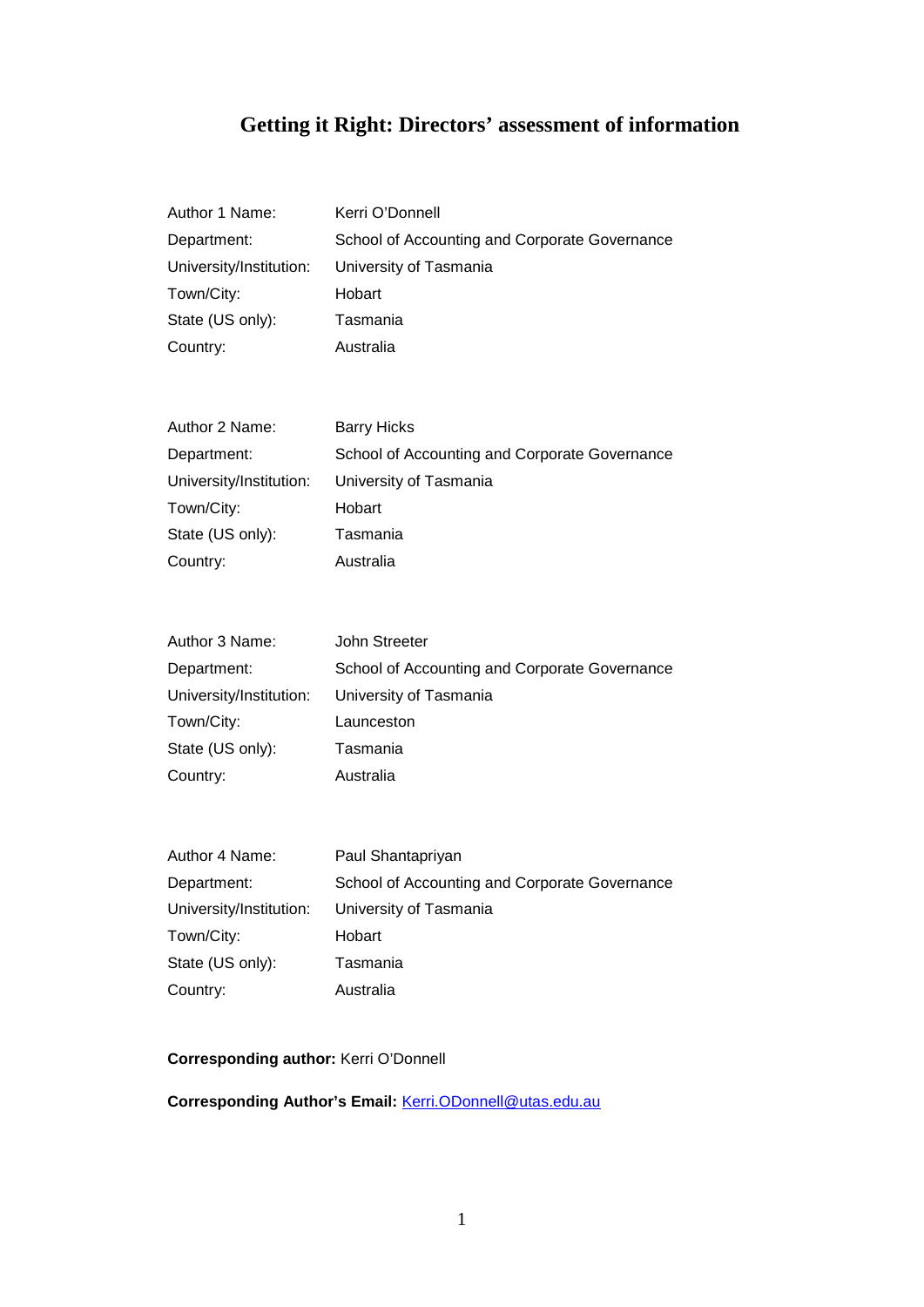# **Getting it Right: Directors' assessment of information**

| Author 1 Name:          | Kerri O'Donnell                               |
|-------------------------|-----------------------------------------------|
| Department:             | School of Accounting and Corporate Governance |
| University/Institution: | University of Tasmania                        |
| Town/City:              | Hobart                                        |
| State (US only):        | Tasmania                                      |
| Country:                | Australia                                     |
| Author 2 Name:          | <b>Barry Hicks</b>                            |
| Department:             | School of Accounting and Corporate Governance |
| University/Institution: | University of Tasmania                        |
| Town/City:              | Hobart                                        |
| State (US only):        | Tasmania                                      |
| Country:                | Australia                                     |
| Author 3 Name:          | John Streeter                                 |
| Department:             | School of Accounting and Corporate Governance |
| University/Institution: | University of Tasmania                        |
| Town/City:              | Launceston                                    |
| State (US only):        | Tasmania                                      |
| Country:                | Australia                                     |
| Author 4 Name:          | Paul Shantapriyan                             |
| Department:             | School of Accounting and Corporate Governance |
| University/Institution: | University of Tasmania                        |
| Town/City:              | Hobart                                        |
| State (US only):        | Tasmania                                      |

**Corresponding author:** Kerri O'Donnell

Country: Australia

**Corresponding Author's Email:** [Kerri.ODonnell@utas.edu.au](mailto:Kerri.ODonnell@utas.edu.au)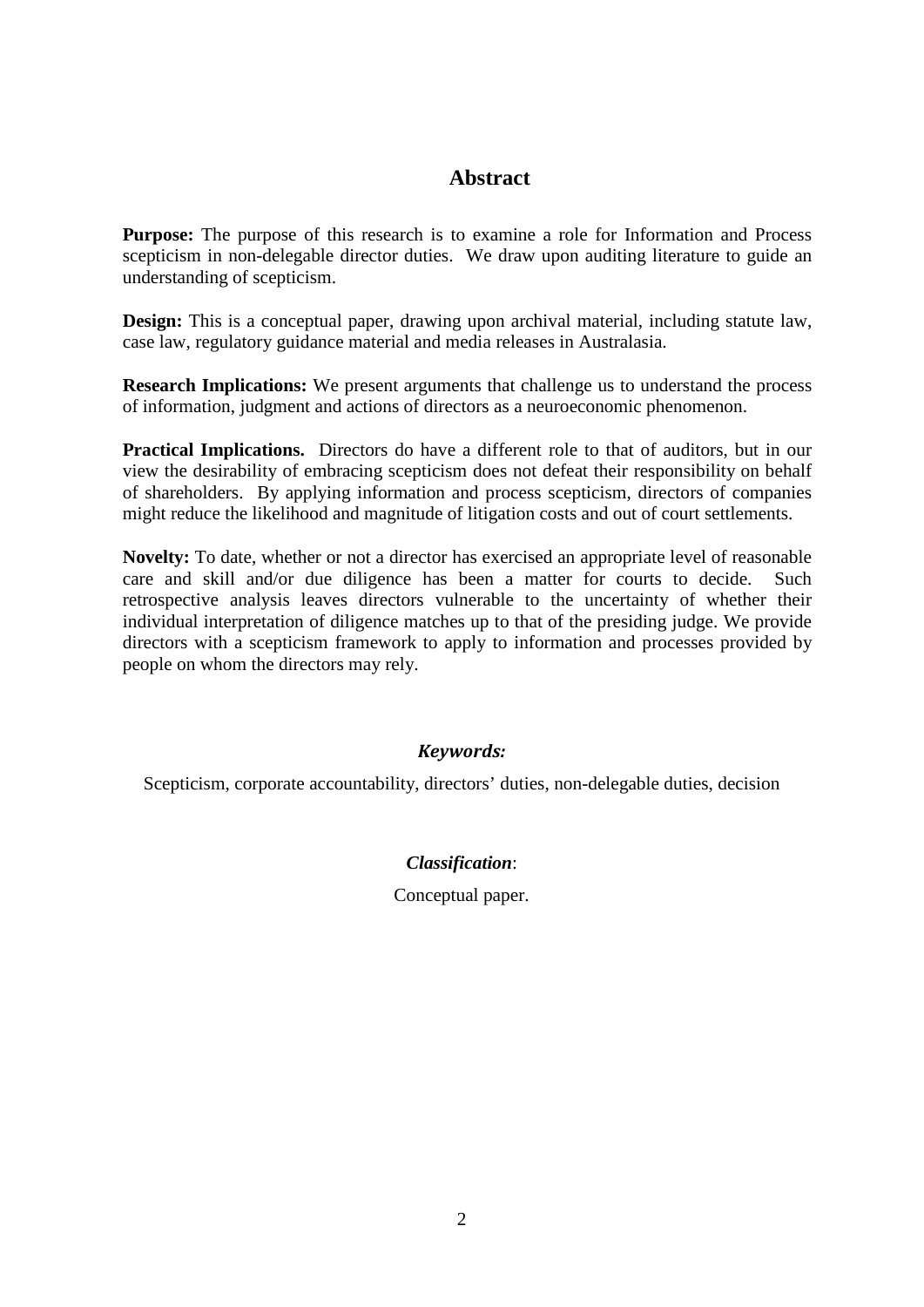# **Abstract**

**Purpose:** The purpose of this research is to examine a role for Information and Process scepticism in non-delegable director duties. We draw upon auditing literature to guide an understanding of scepticism.

**Design:** This is a conceptual paper, drawing upon archival material, including statute law, case law, regulatory guidance material and media releases in Australasia.

**Research Implications:** We present arguments that challenge us to understand the process of information, judgment and actions of directors as a neuroeconomic phenomenon.

**Practical Implications.** Directors do have a different role to that of auditors, but in our view the desirability of embracing scepticism does not defeat their responsibility on behalf of shareholders. By applying information and process scepticism, directors of companies might reduce the likelihood and magnitude of litigation costs and out of court settlements.

**Novelty:** To date, whether or not a director has exercised an appropriate level of reasonable care and skill and/or due diligence has been a matter for courts to decide. Such retrospective analysis leaves directors vulnerable to the uncertainty of whether their individual interpretation of diligence matches up to that of the presiding judge. We provide directors with a scepticism framework to apply to information and processes provided by people on whom the directors may rely.

# *Keywords:*

Scepticism, corporate accountability, directors' duties, non-delegable duties, decision

# *Classification*:

Conceptual paper.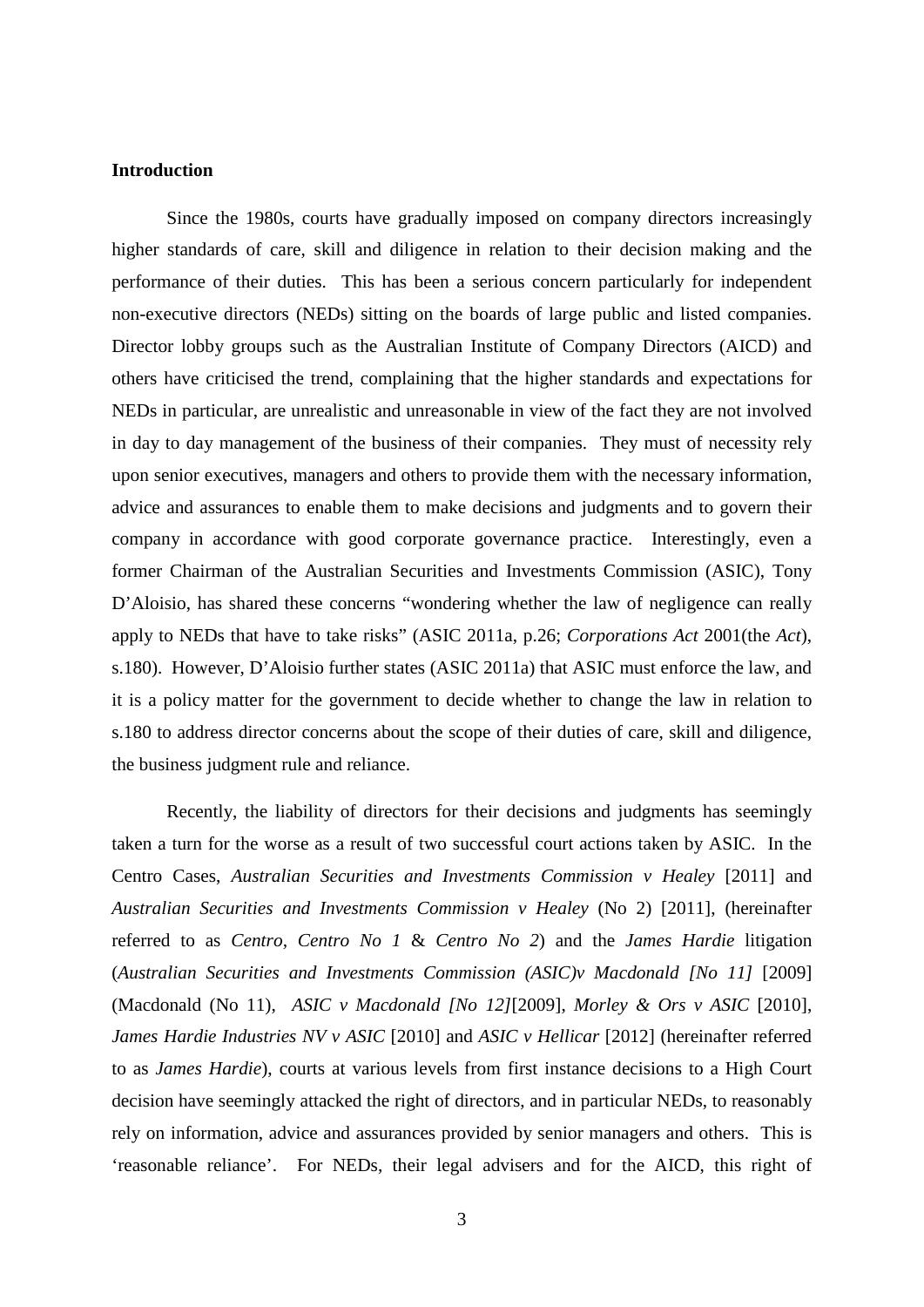#### **Introduction**

Since the 1980s, courts have gradually imposed on company directors increasingly higher standards of care, skill and diligence in relation to their decision making and the performance of their duties. This has been a serious concern particularly for independent non-executive directors (NEDs) sitting on the boards of large public and listed companies. Director lobby groups such as the Australian Institute of Company Directors (AICD) and others have criticised the trend, complaining that the higher standards and expectations for NEDs in particular, are unrealistic and unreasonable in view of the fact they are not involved in day to day management of the business of their companies. They must of necessity rely upon senior executives, managers and others to provide them with the necessary information, advice and assurances to enable them to make decisions and judgments and to govern their company in accordance with good corporate governance practice. Interestingly, even a former Chairman of the Australian Securities and Investments Commission (ASIC), Tony D'Aloisio, has shared these concerns "wondering whether the law of negligence can really apply to NEDs that have to take risks" (ASIC 2011a, p.26; *Corporations Act* 2001(the *Act*), s.180). However, D'Aloisio further states (ASIC 2011a) that ASIC must enforce the law, and it is a policy matter for the government to decide whether to change the law in relation to s.180 to address director concerns about the scope of their duties of care, skill and diligence, the business judgment rule and reliance.

Recently, the liability of directors for their decisions and judgments has seemingly taken a turn for the worse as a result of two successful court actions taken by ASIC. In the Centro Cases, *Australian Securities and Investments Commission v Healey* [2011] and *Australian Securities and Investments Commission v Healey* (No 2) [2011], (hereinafter referred to as *Centro, Centro No 1* & *Centro No 2*) and the *James Hardie* litigation (*Australian Securities and Investments Commission (ASIC)v Macdonald [No 11]* [2009] (Macdonald (No 11), *ASIC v Macdonald [No 12]*[2009], *Morley & Ors v ASIC* [2010], *James Hardie Industries NV v ASIC* [2010] and *ASIC v Hellicar* [2012] (hereinafter referred to as *James Hardie*), courts at various levels from first instance decisions to a High Court decision have seemingly attacked the right of directors, and in particular NEDs, to reasonably rely on information, advice and assurances provided by senior managers and others. This is 'reasonable reliance'. For NEDs, their legal advisers and for the AICD, this right of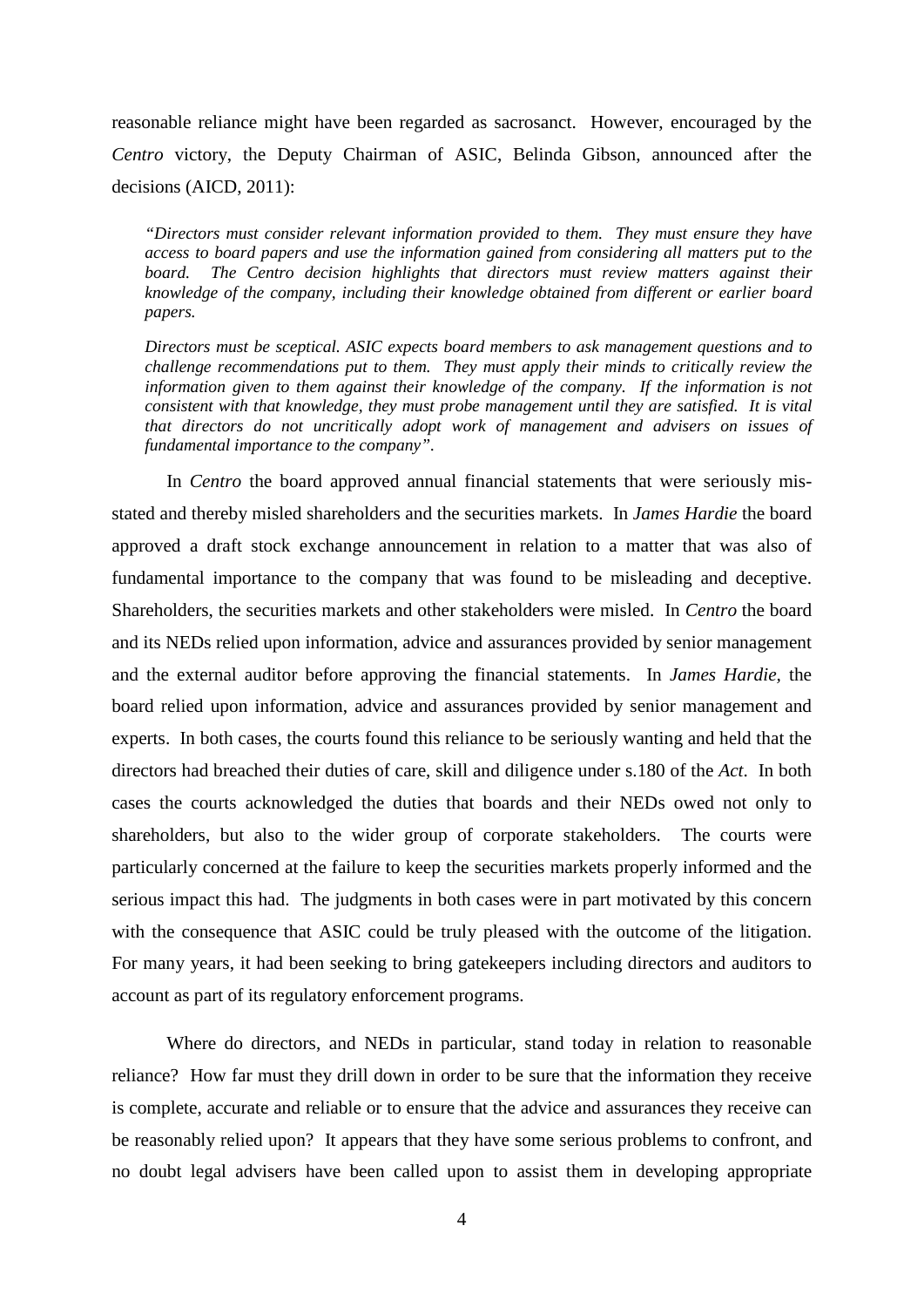reasonable reliance might have been regarded as sacrosanct. However, encouraged by the *Centro* victory, the Deputy Chairman of ASIC, Belinda Gibson, announced after the decisions (AICD, 2011):

*"Directors must consider relevant information provided to them. They must ensure they have access to board papers and use the information gained from considering all matters put to the board. The Centro decision highlights that directors must review matters against their knowledge of the company, including their knowledge obtained from different or earlier board papers.*

*Directors must be sceptical. ASIC expects board members to ask management questions and to challenge recommendations put to them. They must apply their minds to critically review the information given to them against their knowledge of the company. If the information is not consistent with that knowledge, they must probe management until they are satisfied. It is vital that directors do not uncritically adopt work of management and advisers on issues of fundamental importance to the company".*

In *Centro* the board approved annual financial statements that were seriously misstated and thereby misled shareholders and the securities markets. In *James Hardie* the board approved a draft stock exchange announcement in relation to a matter that was also of fundamental importance to the company that was found to be misleading and deceptive. Shareholders, the securities markets and other stakeholders were misled. In *Centro* the board and its NEDs relied upon information, advice and assurances provided by senior management and the external auditor before approving the financial statements. In *James Hardie,* the board relied upon information, advice and assurances provided by senior management and experts. In both cases, the courts found this reliance to be seriously wanting and held that the directors had breached their duties of care, skill and diligence under s.180 of the *Act*. In both cases the courts acknowledged the duties that boards and their NEDs owed not only to shareholders, but also to the wider group of corporate stakeholders. The courts were particularly concerned at the failure to keep the securities markets properly informed and the serious impact this had. The judgments in both cases were in part motivated by this concern with the consequence that ASIC could be truly pleased with the outcome of the litigation. For many years, it had been seeking to bring gatekeepers including directors and auditors to account as part of its regulatory enforcement programs.

Where do directors, and NEDs in particular, stand today in relation to reasonable reliance? How far must they drill down in order to be sure that the information they receive is complete, accurate and reliable or to ensure that the advice and assurances they receive can be reasonably relied upon? It appears that they have some serious problems to confront, and no doubt legal advisers have been called upon to assist them in developing appropriate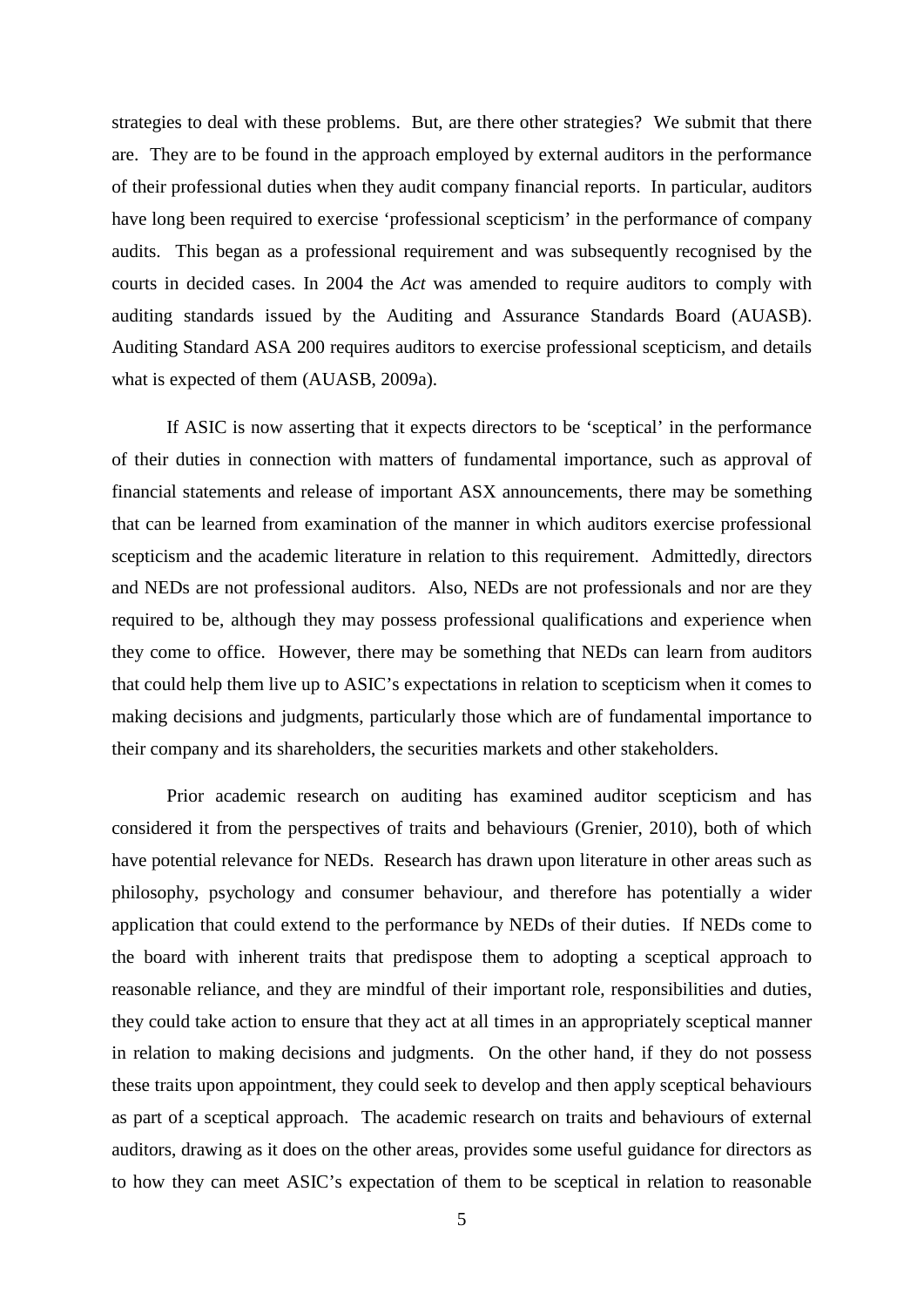strategies to deal with these problems. But, are there other strategies? We submit that there are. They are to be found in the approach employed by external auditors in the performance of their professional duties when they audit company financial reports. In particular, auditors have long been required to exercise 'professional scepticism' in the performance of company audits. This began as a professional requirement and was subsequently recognised by the courts in decided cases. In 2004 the *Act* was amended to require auditors to comply with auditing standards issued by the Auditing and Assurance Standards Board (AUASB). Auditing Standard ASA 200 requires auditors to exercise professional scepticism, and details what is expected of them (AUASB, 2009a).

If ASIC is now asserting that it expects directors to be 'sceptical' in the performance of their duties in connection with matters of fundamental importance, such as approval of financial statements and release of important ASX announcements, there may be something that can be learned from examination of the manner in which auditors exercise professional scepticism and the academic literature in relation to this requirement. Admittedly, directors and NEDs are not professional auditors. Also, NEDs are not professionals and nor are they required to be, although they may possess professional qualifications and experience when they come to office. However, there may be something that NEDs can learn from auditors that could help them live up to ASIC's expectations in relation to scepticism when it comes to making decisions and judgments, particularly those which are of fundamental importance to their company and its shareholders, the securities markets and other stakeholders.

Prior academic research on auditing has examined auditor scepticism and has considered it from the perspectives of traits and behaviours (Grenier, 2010), both of which have potential relevance for NEDs. Research has drawn upon literature in other areas such as philosophy, psychology and consumer behaviour, and therefore has potentially a wider application that could extend to the performance by NEDs of their duties. If NEDs come to the board with inherent traits that predispose them to adopting a sceptical approach to reasonable reliance, and they are mindful of their important role, responsibilities and duties, they could take action to ensure that they act at all times in an appropriately sceptical manner in relation to making decisions and judgments. On the other hand, if they do not possess these traits upon appointment, they could seek to develop and then apply sceptical behaviours as part of a sceptical approach. The academic research on traits and behaviours of external auditors, drawing as it does on the other areas, provides some useful guidance for directors as to how they can meet ASIC's expectation of them to be sceptical in relation to reasonable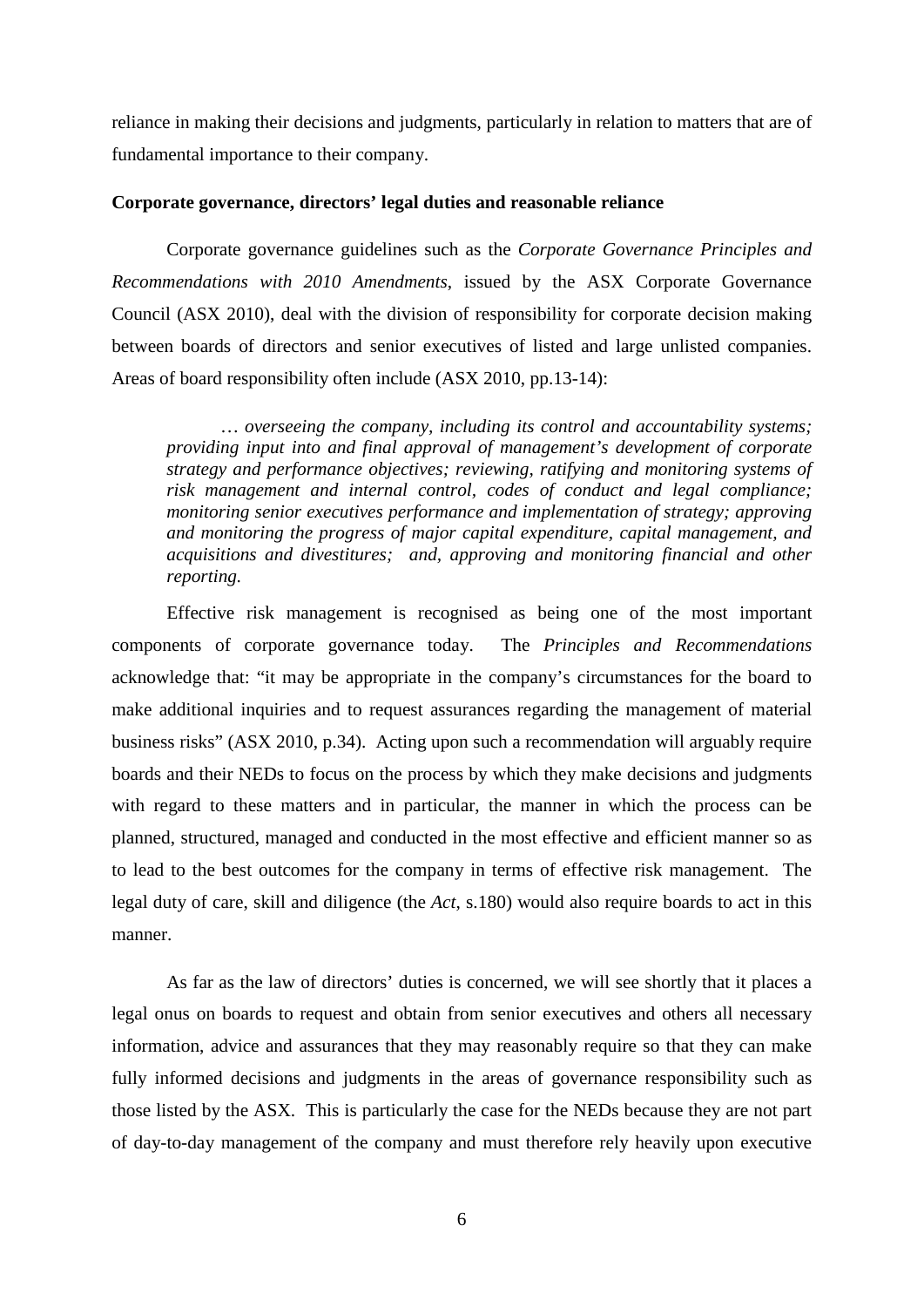reliance in making their decisions and judgments, particularly in relation to matters that are of fundamental importance to their company.

### **Corporate governance, directors' legal duties and reasonable reliance**

Corporate governance guidelines such as the *Corporate Governance Principles and Recommendations with 2010 Amendments*, issued by the ASX Corporate Governance Council (ASX 2010), deal with the division of responsibility for corporate decision making between boards of directors and senior executives of listed and large unlisted companies. Areas of board responsibility often include (ASX 2010, pp.13-14):

*… overseeing the company, including its control and accountability systems; providing input into and final approval of management's development of corporate strategy and performance objectives; reviewing, ratifying and monitoring systems of risk management and internal control, codes of conduct and legal compliance; monitoring senior executives performance and implementation of strategy; approving and monitoring the progress of major capital expenditure, capital management, and acquisitions and divestitures; and, approving and monitoring financial and other reporting.* 

Effective risk management is recognised as being one of the most important components of corporate governance today. The *Principles and Recommendations* acknowledge that: "it may be appropriate in the company's circumstances for the board to make additional inquiries and to request assurances regarding the management of material business risks" (ASX 2010, p.34). Acting upon such a recommendation will arguably require boards and their NEDs to focus on the process by which they make decisions and judgments with regard to these matters and in particular, the manner in which the process can be planned, structured, managed and conducted in the most effective and efficient manner so as to lead to the best outcomes for the company in terms of effective risk management. The legal duty of care, skill and diligence (the *Act*, s.180) would also require boards to act in this manner.

As far as the law of directors' duties is concerned, we will see shortly that it places a legal onus on boards to request and obtain from senior executives and others all necessary information, advice and assurances that they may reasonably require so that they can make fully informed decisions and judgments in the areas of governance responsibility such as those listed by the ASX. This is particularly the case for the NEDs because they are not part of day-to-day management of the company and must therefore rely heavily upon executive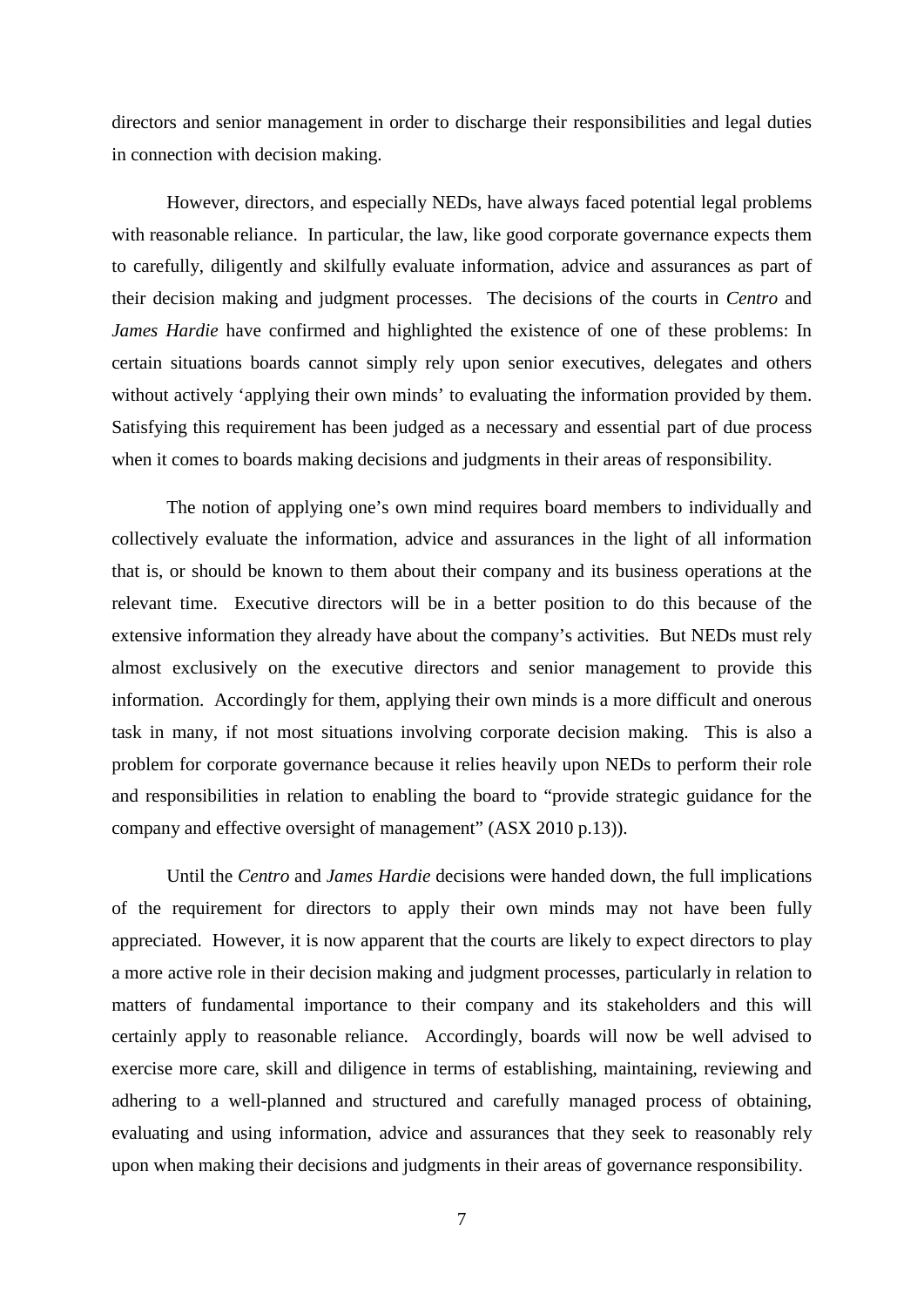directors and senior management in order to discharge their responsibilities and legal duties in connection with decision making.

However, directors, and especially NEDs, have always faced potential legal problems with reasonable reliance. In particular, the law, like good corporate governance expects them to carefully, diligently and skilfully evaluate information, advice and assurances as part of their decision making and judgment processes. The decisions of the courts in *Centro* and *James Hardie* have confirmed and highlighted the existence of one of these problems: In certain situations boards cannot simply rely upon senior executives, delegates and others without actively 'applying their own minds' to evaluating the information provided by them. Satisfying this requirement has been judged as a necessary and essential part of due process when it comes to boards making decisions and judgments in their areas of responsibility.

The notion of applying one's own mind requires board members to individually and collectively evaluate the information, advice and assurances in the light of all information that is, or should be known to them about their company and its business operations at the relevant time. Executive directors will be in a better position to do this because of the extensive information they already have about the company's activities. But NEDs must rely almost exclusively on the executive directors and senior management to provide this information. Accordingly for them, applying their own minds is a more difficult and onerous task in many, if not most situations involving corporate decision making. This is also a problem for corporate governance because it relies heavily upon NEDs to perform their role and responsibilities in relation to enabling the board to "provide strategic guidance for the company and effective oversight of management" (ASX 2010 p.13)).

Until the *Centro* and *James Hardie* decisions were handed down, the full implications of the requirement for directors to apply their own minds may not have been fully appreciated. However, it is now apparent that the courts are likely to expect directors to play a more active role in their decision making and judgment processes, particularly in relation to matters of fundamental importance to their company and its stakeholders and this will certainly apply to reasonable reliance. Accordingly, boards will now be well advised to exercise more care, skill and diligence in terms of establishing, maintaining, reviewing and adhering to a well-planned and structured and carefully managed process of obtaining, evaluating and using information, advice and assurances that they seek to reasonably rely upon when making their decisions and judgments in their areas of governance responsibility.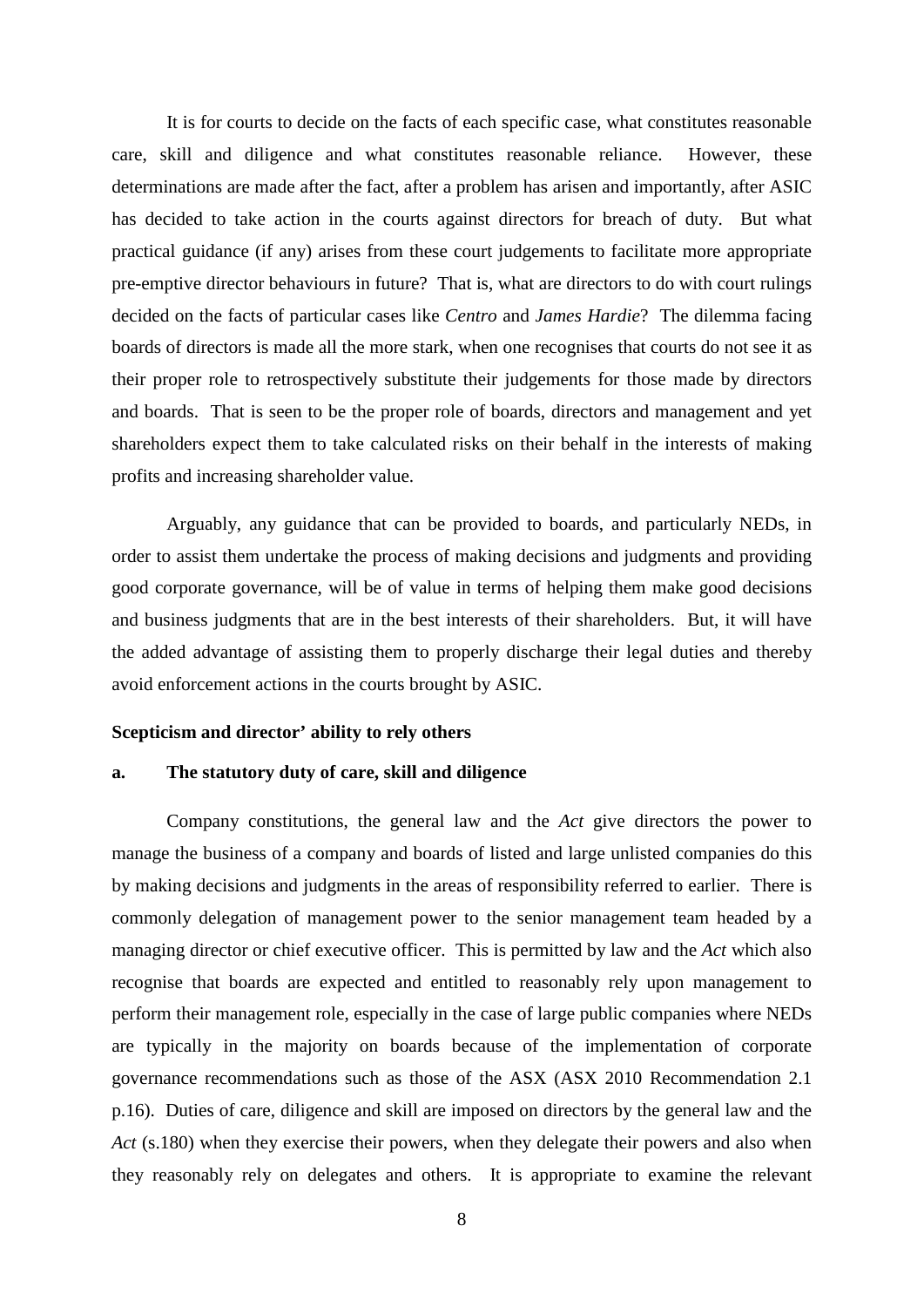It is for courts to decide on the facts of each specific case, what constitutes reasonable care, skill and diligence and what constitutes reasonable reliance. However, these determinations are made after the fact, after a problem has arisen and importantly, after ASIC has decided to take action in the courts against directors for breach of duty. But what practical guidance (if any) arises from these court judgements to facilitate more appropriate pre-emptive director behaviours in future? That is, what are directors to do with court rulings decided on the facts of particular cases like *Centro* and *James Hardie*? The dilemma facing boards of directors is made all the more stark, when one recognises that courts do not see it as their proper role to retrospectively substitute their judgements for those made by directors and boards. That is seen to be the proper role of boards, directors and management and yet shareholders expect them to take calculated risks on their behalf in the interests of making profits and increasing shareholder value.

Arguably, any guidance that can be provided to boards, and particularly NEDs, in order to assist them undertake the process of making decisions and judgments and providing good corporate governance, will be of value in terms of helping them make good decisions and business judgments that are in the best interests of their shareholders. But, it will have the added advantage of assisting them to properly discharge their legal duties and thereby avoid enforcement actions in the courts brought by ASIC.

# **Scepticism and director' ability to rely others**

# **a. The statutory duty of care, skill and diligence**

Company constitutions, the general law and the *Act* give directors the power to manage the business of a company and boards of listed and large unlisted companies do this by making decisions and judgments in the areas of responsibility referred to earlier. There is commonly delegation of management power to the senior management team headed by a managing director or chief executive officer. This is permitted by law and the *Act* which also recognise that boards are expected and entitled to reasonably rely upon management to perform their management role, especially in the case of large public companies where NEDs are typically in the majority on boards because of the implementation of corporate governance recommendations such as those of the ASX (ASX 2010 Recommendation 2.1 p.16). Duties of care, diligence and skill are imposed on directors by the general law and the *Act* (s.180) when they exercise their powers, when they delegate their powers and also when they reasonably rely on delegates and others. It is appropriate to examine the relevant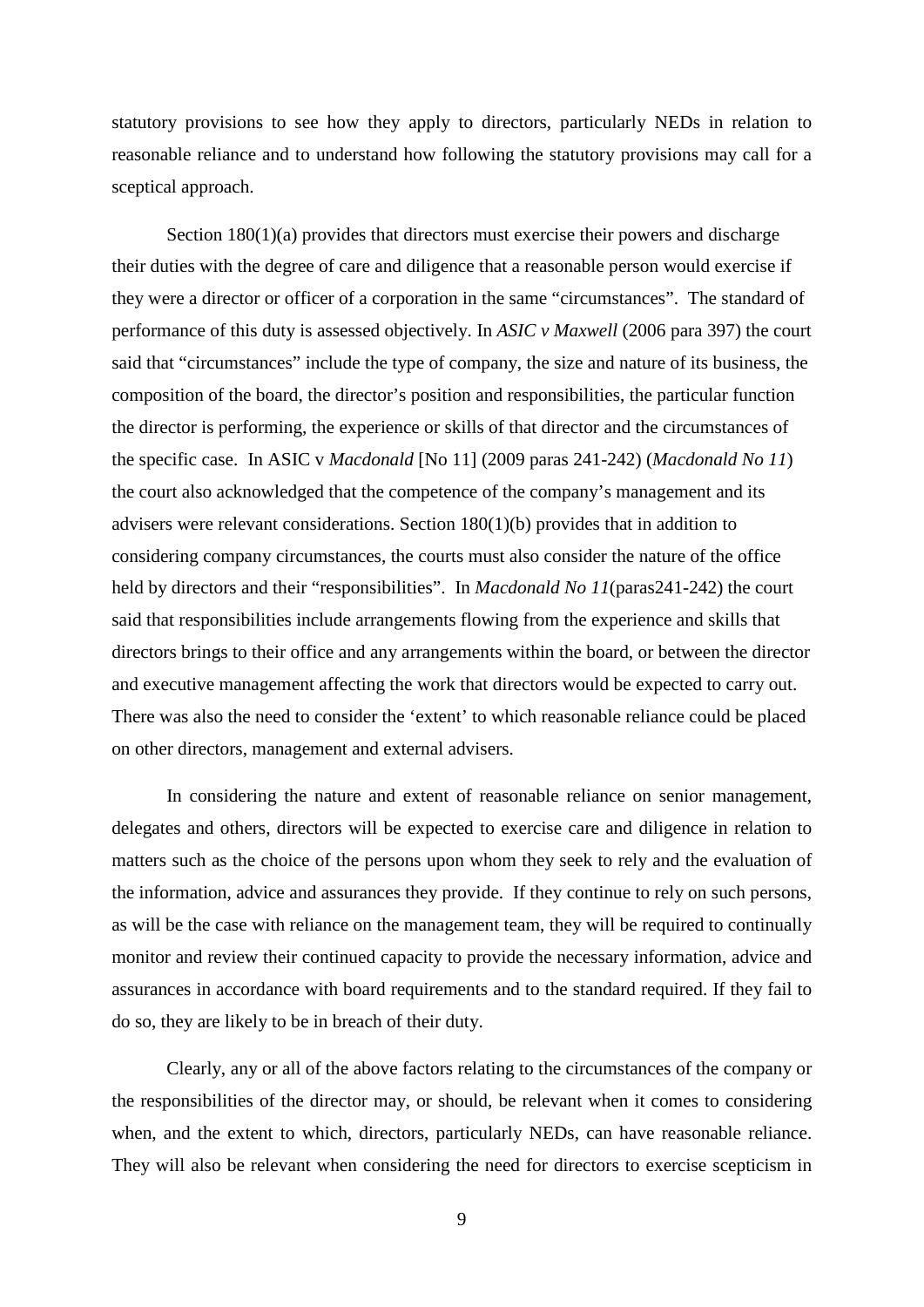statutory provisions to see how they apply to directors, particularly NEDs in relation to reasonable reliance and to understand how following the statutory provisions may call for a sceptical approach.

Section 180(1)(a) provides that directors must exercise their powers and discharge their duties with the degree of care and diligence that a reasonable person would exercise if they were a director or officer of a corporation in the same "circumstances". The standard of performance of this duty is assessed objectively. In *ASIC v Maxwell* (2006 para 397) the court said that "circumstances" include the type of company, the size and nature of its business, the composition of the board, the director's position and responsibilities, the particular function the director is performing, the experience or skills of that director and the circumstances of the specific case. In ASIC v *Macdonald* [No 11] (2009 paras 241-242) (*Macdonald No 11*) the court also acknowledged that the competence of the company's management and its advisers were relevant considerations. Section 180(1)(b) provides that in addition to considering company circumstances, the courts must also consider the nature of the office held by directors and their "responsibilities". In *Macdonald No 11*(paras241-242) the court said that responsibilities include arrangements flowing from the experience and skills that directors brings to their office and any arrangements within the board, or between the director and executive management affecting the work that directors would be expected to carry out. There was also the need to consider the 'extent' to which reasonable reliance could be placed on other directors, management and external advisers.

In considering the nature and extent of reasonable reliance on senior management, delegates and others, directors will be expected to exercise care and diligence in relation to matters such as the choice of the persons upon whom they seek to rely and the evaluation of the information, advice and assurances they provide. If they continue to rely on such persons, as will be the case with reliance on the management team, they will be required to continually monitor and review their continued capacity to provide the necessary information, advice and assurances in accordance with board requirements and to the standard required. If they fail to do so, they are likely to be in breach of their duty.

Clearly, any or all of the above factors relating to the circumstances of the company or the responsibilities of the director may, or should, be relevant when it comes to considering when, and the extent to which, directors, particularly NEDs, can have reasonable reliance. They will also be relevant when considering the need for directors to exercise scepticism in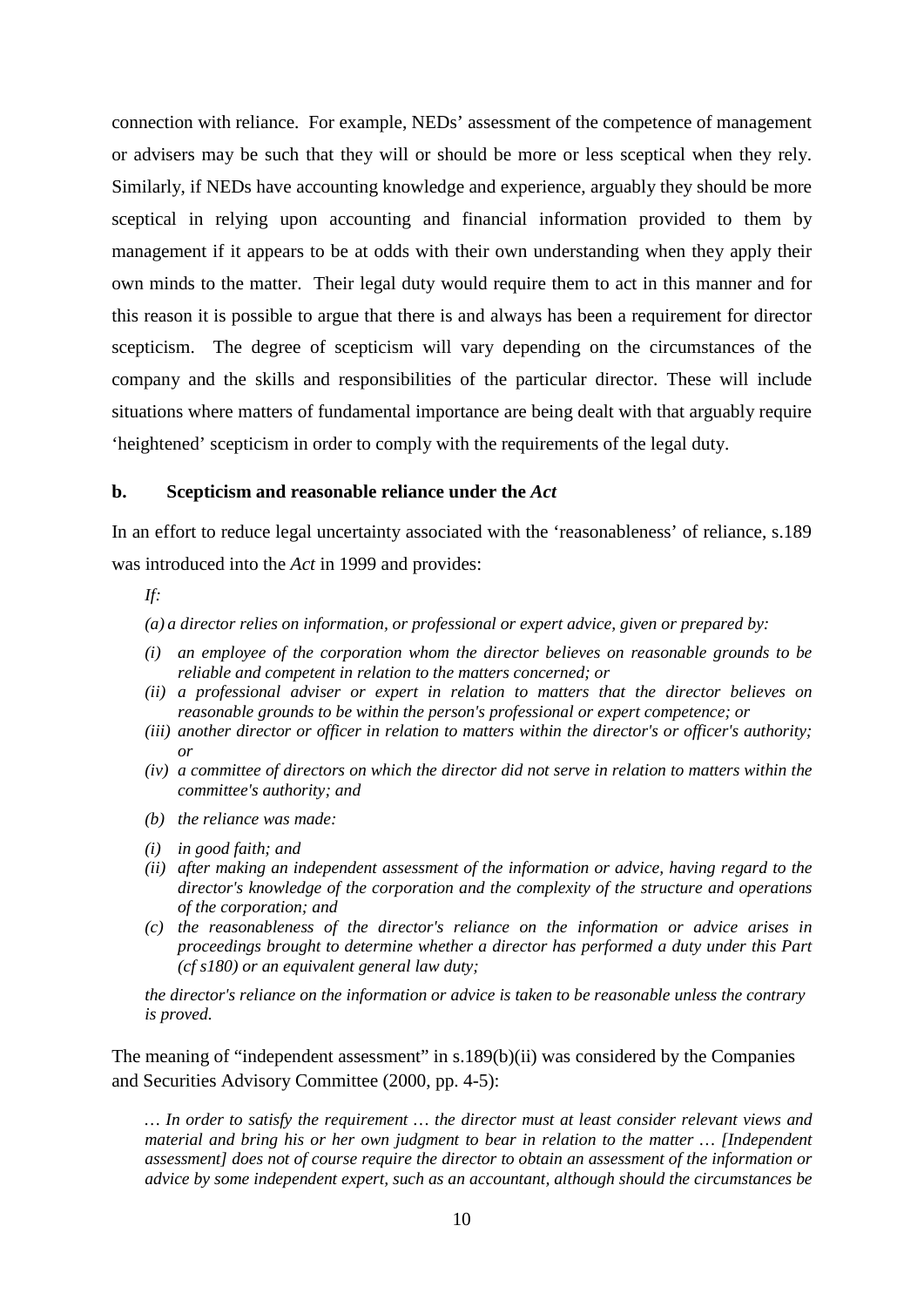connection with reliance. For example, NEDs' assessment of the competence of management or advisers may be such that they will or should be more or less sceptical when they rely. Similarly, if NEDs have accounting knowledge and experience, arguably they should be more sceptical in relying upon accounting and financial information provided to them by management if it appears to be at odds with their own understanding when they apply their own minds to the matter. Their legal duty would require them to act in this manner and for this reason it is possible to argue that there is and always has been a requirement for director scepticism. The degree of scepticism will vary depending on the circumstances of the company and the skills and responsibilities of the particular director. These will include situations where matters of fundamental importance are being dealt with that arguably require 'heightened' scepticism in order to comply with the requirements of the legal duty.

## **b. Scepticism and reasonable reliance under the** *Act*

In an effort to reduce legal uncertainty associated with the 'reasonableness' of reliance, s.189 was introduced into the *Act* in 1999 and provides:

*If:*

*(a) a [director](http://www.austlii.edu.au/au/legis/cth/consol_act/ca2001172/s9.html#director) relies on [information,](http://www.austlii.edu.au/au/legis/cth/consol_act/ca2001172/s9.html#information) or professional or [expert](http://www.austlii.edu.au/au/legis/cth/consol_act/ca2001172/s9.html#expert) advice, given or prepared by:* 

- *(i) an employee of the [corporation](http://www.austlii.edu.au/au/legis/cth/consol_act/ca2001172/s9.html#corporation) whom the [director](http://www.austlii.edu.au/au/legis/cth/consol_act/ca2001172/s9.html#director) believes on reasonable grounds to be reliable and competent in relation to the matters concerned; or*
- *(ii) a professional adviser or [expert](http://www.austlii.edu.au/au/legis/cth/consol_act/ca2001172/s9.html#expert) in relation to matters that the [director](http://www.austlii.edu.au/au/legis/cth/consol_act/ca2001172/s9.html#director) believes on reasonable grounds to be within the [person'](http://www.austlii.edu.au/au/legis/cth/consol_act/ca2001172/s761a.html#person)s professional or [expert](http://www.austlii.edu.au/au/legis/cth/consol_act/ca2001172/s9.html#expert) competence; or*
- *(iii) another [director](http://www.austlii.edu.au/au/legis/cth/consol_act/ca2001172/s9.html#director) or [officer](http://www.austlii.edu.au/au/legis/cth/consol_act/ca2001172/s416.html#officer) in relation to matters within the [director's](http://www.austlii.edu.au/au/legis/cth/consol_act/ca2001172/s9.html#director) or [officer's](http://www.austlii.edu.au/au/legis/cth/consol_act/ca2001172/s416.html#officer) authority; or*
- *(iv) a committee of [directors](http://www.austlii.edu.au/au/legis/cth/consol_act/ca2001172/s9.html#director) on which the [director](http://www.austlii.edu.au/au/legis/cth/consol_act/ca2001172/s9.html#director) did not serve in relation to matters within the committee's authority; and*
- *(b) the reliance was [made:](http://www.austlii.edu.au/au/legis/cth/consol_act/ca2001172/s1371.html#made)*
- *(i) in good faith; and*
- *(ii) after making an independent assessment of the [information](http://www.austlii.edu.au/au/legis/cth/consol_act/ca2001172/s9.html#information) or advice, having regard to the [director'](http://www.austlii.edu.au/au/legis/cth/consol_act/ca2001172/s9.html#director)s knowledge of the [corporation](http://www.austlii.edu.au/au/legis/cth/consol_act/ca2001172/s9.html#corporation) and the complexity of the structure and operations of the [corporation;](http://www.austlii.edu.au/au/legis/cth/consol_act/ca2001172/s9.html#corporation) and*
- *(c) the reasonableness of the [director'](http://www.austlii.edu.au/au/legis/cth/consol_act/ca2001172/s9.html#director)s reliance on the [information](http://www.austlii.edu.au/au/legis/cth/consol_act/ca2001172/s9.html#information) or advice arises in proceedings brought to determine whether a [director](http://www.austlii.edu.au/au/legis/cth/consol_act/ca2001172/s9.html#director) has performed a duty under [this Part](http://www.austlii.edu.au/au/legis/cth/consol_act/ca2001172/s1371.html#this_part) (cf s180) or an equivalent general law duty;*

*the [director'](http://www.austlii.edu.au/au/legis/cth/consol_act/ca2001172/s9.html#director)s reliance on the [information](http://www.austlii.edu.au/au/legis/cth/consol_act/ca2001172/s9.html#information) or advice is taken to be reasonable unless the contrary is [proved.](http://www.austlii.edu.au/au/legis/cth/consol_act/ca2001172/s9.html#prove)* 

The meaning of "independent assessment" in s.189(b)(ii) was considered by the Companies and Securities Advisory Committee (2000, pp. 4-5):

*… In order to satisfy the requirement … the director must at least consider relevant views and material and bring his or her own judgment to bear in relation to the matter … [Independent assessment] does not of course require the director to obtain an assessment of the information or advice by some independent expert, such as an accountant, although should the circumstances be*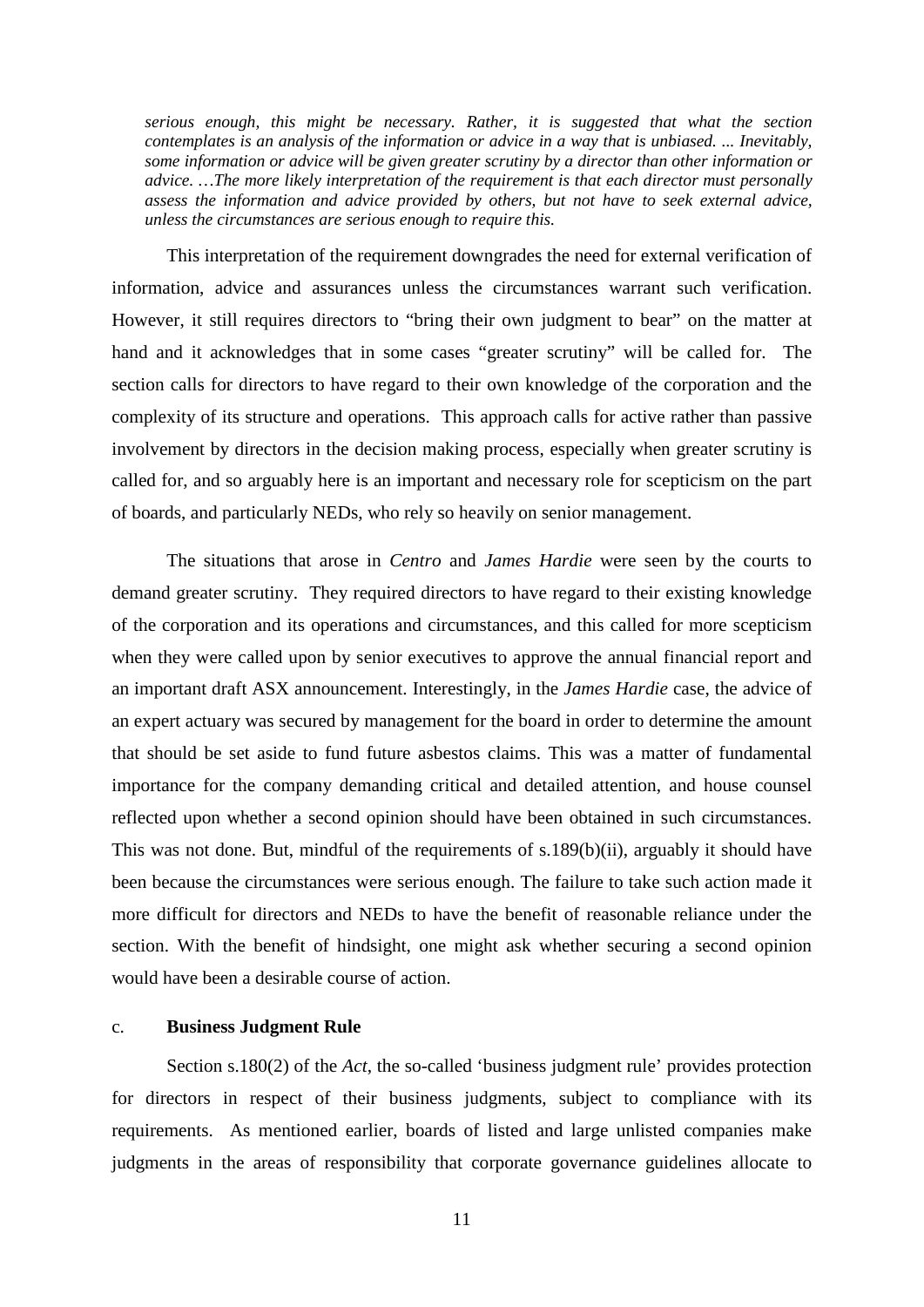*serious enough, this might be necessary. Rather, it is suggested that what the section contemplates is an analysis of the information or advice in a way that is unbiased. ... Inevitably, some information or advice will be given greater scrutiny by a director than other information or advice. …The more likely interpretation of the requirement is that each director must personally assess the information and advice provided by others, but not have to seek external advice, unless the circumstances are serious enough to require this.*

This interpretation of the requirement downgrades the need for external verification of information, advice and assurances unless the circumstances warrant such verification. However, it still requires directors to "bring their own judgment to bear" on the matter at hand and it acknowledges that in some cases "greater scrutiny" will be called for. The section calls for directors to have regard to their own knowledge of the [corporation](http://www.austlii.edu.au/au/legis/cth/consol_act/ca2001172/s9.html#corporation) and the complexity of its structure and operations. This approach calls for active rather than passive involvement by directors in the decision making process, especially when greater scrutiny is called for, and so arguably here is an important and necessary role for scepticism on the part of boards, and particularly NEDs, who rely so heavily on senior management.

The situations that arose in *Centro* and *James Hardie* were seen by the courts to demand greater scrutiny. They required directors to have regard to their existing knowledge of the corporation and its operations and circumstances, and this called for more scepticism when they were called upon by senior executives to approve the annual financial report and an important draft ASX announcement. Interestingly, in the *James Hardie* case, the advice of an expert actuary was secured by management for the board in order to determine the amount that should be set aside to fund future asbestos claims. This was a matter of fundamental importance for the company demanding critical and detailed attention, and house counsel reflected upon whether a second opinion should have been obtained in such circumstances. This was not done. But, mindful of the requirements of s.189(b)(ii), arguably it should have been because the circumstances were serious enough. The failure to take such action made it more difficult for directors and NEDs to have the benefit of reasonable reliance under the section. With the benefit of hindsight, one might ask whether securing a second opinion would have been a desirable course of action.

# c. **Business Judgment Rule**

Section s.180(2) of the *Act*, the so-called 'business judgment rule' provides protection for directors in respect of their business judgments, subject to compliance with its requirements. As mentioned earlier, boards of listed and large unlisted companies make judgments in the areas of responsibility that corporate governance guidelines allocate to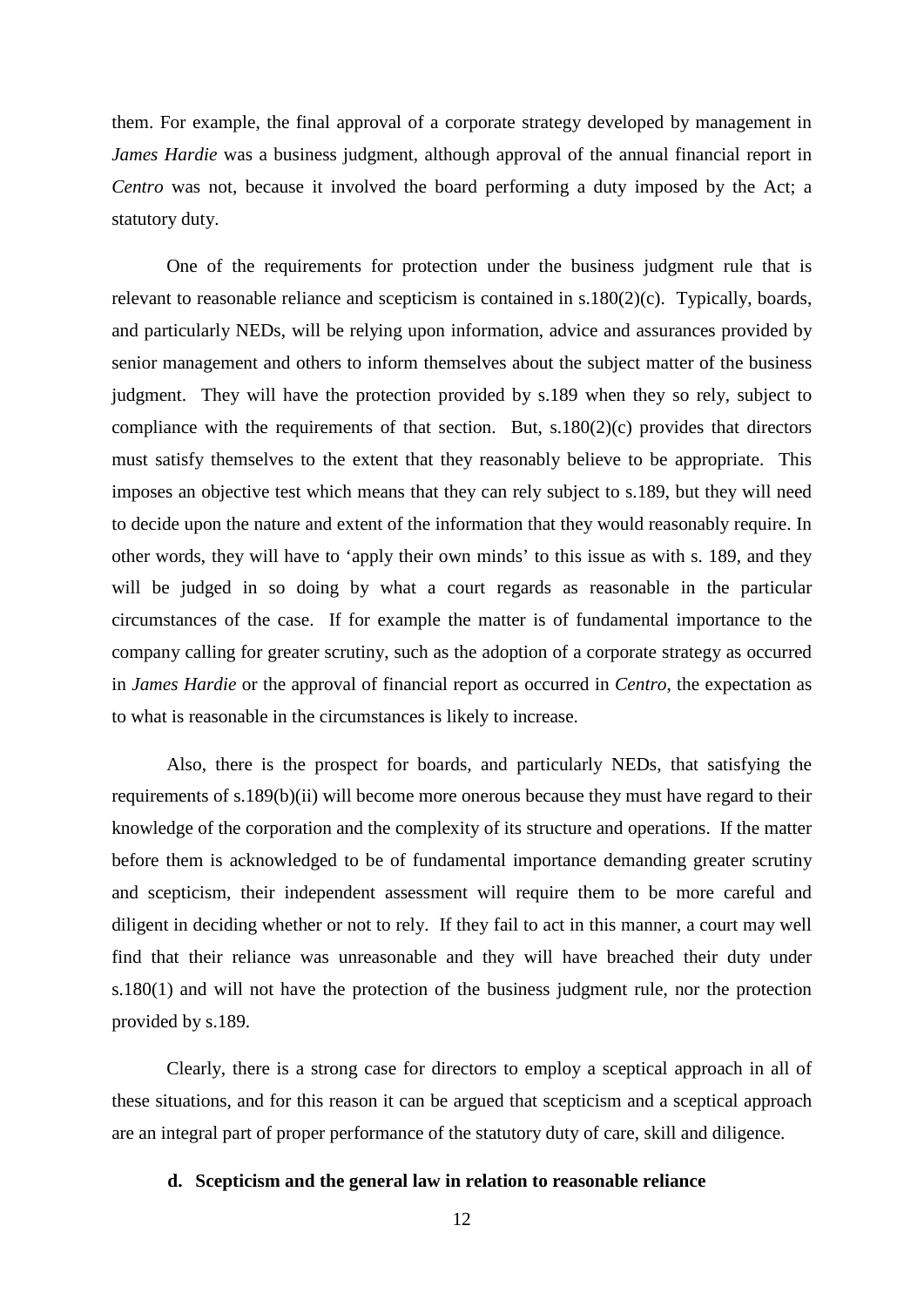them. For example, the final approval of a corporate strategy developed by management in *James Hardie* was a business judgment, although approval of the annual financial report in *Centro* was not, because it involved the board performing a duty imposed by the Act; a statutory duty.

One of the requirements for protection under the business judgment rule that is relevant to reasonable reliance and scepticism is contained in s.180(2)(c). Typically, boards, and particularly NEDs, will be relying upon information, advice and assurances provided by senior management and others to inform themselves about the subject matter of the business judgment. They will have the protection provided by s.189 when they so rely, subject to compliance with the requirements of that section. But,  $s.180(2)(c)$  provides that directors must satisfy themselves to the extent that they reasonably believe to be appropriate. This imposes an objective test which means that they can rely subject to s.189, but they will need to decide upon the nature and extent of the information that they would reasonably require. In other words, they will have to 'apply their own minds' to this issue as with s. 189, and they will be judged in so doing by what a court regards as reasonable in the particular circumstances of the case. If for example the matter is of fundamental importance to the company calling for greater scrutiny, such as the adoption of a corporate strategy as occurred in *James Hardie* or the approval of financial report as occurred in *Centro*, the expectation as to what is reasonable in the circumstances is likely to increase.

Also, there is the prospect for boards, and particularly NEDs, that satisfying the requirements of s.189(b)(ii) will become more onerous because they must have regard to their knowledge of the [corporation](http://www.austlii.edu.au/au/legis/cth/consol_act/ca2001172/s9.html#corporation) and the complexity of its structure and operations. If the matter before them is acknowledged to be of fundamental importance demanding greater scrutiny and scepticism, their independent assessment will require them to be more careful and diligent in deciding whether or not to rely. If they fail to act in this manner, a court may well find that their reliance was unreasonable and they will have breached their duty under s.180(1) and will not have the protection of the business judgment rule, nor the protection provided by s.189.

Clearly, there is a strong case for directors to employ a sceptical approach in all of these situations, and for this reason it can be argued that scepticism and a sceptical approach are an integral part of proper performance of the statutory duty of care, skill and diligence.

## **d. Scepticism and the general law in relation to reasonable reliance**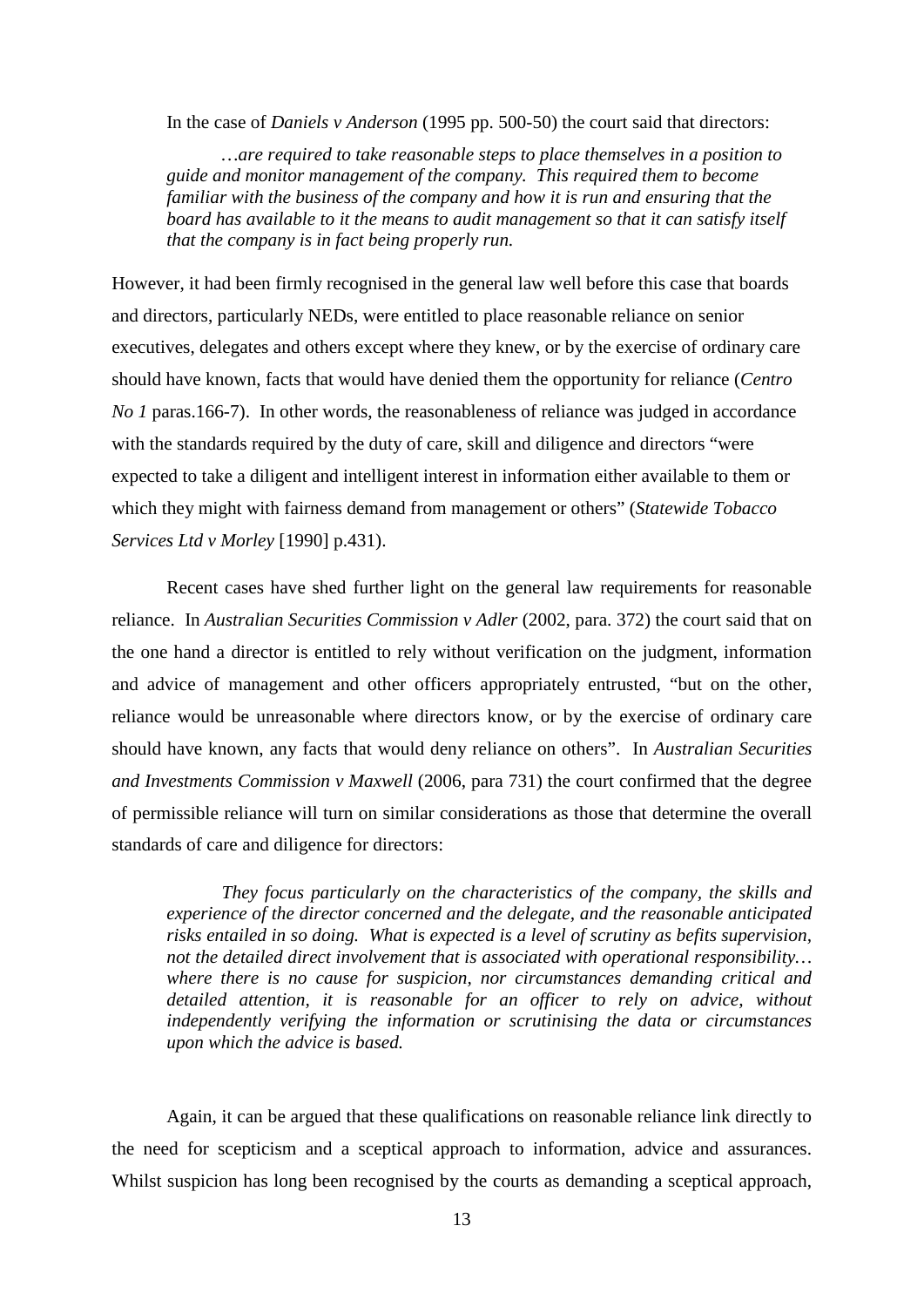In the case of *Daniels v Anderson* (1995 pp. 500-50) the court said that directors:

*…are required to take reasonable steps to place themselves in a position to guide and monitor management of the company. This required them to become familiar with the business of the company and how it is run and ensuring that the board has available to it the means to audit management so that it can satisfy itself that the company is in fact being properly run.* 

However, it had been firmly recognised in the general law well before this case that boards and directors, particularly NEDs, were entitled to place reasonable reliance on senior executives, delegates and others except where they knew, or by the exercise of ordinary care should have known, facts that would have denied them the opportunity for reliance (*Centro No 1* paras.166-7). In other words, the reasonableness of reliance was judged in accordance with the standards required by the duty of care, skill and diligence and directors "were expected to take a diligent and intelligent interest in information either available to them or which they might with fairness demand from management or others" (*Statewide Tobacco Services Ltd v Morley* [1990] p.431).

Recent cases have shed further light on the general law requirements for reasonable reliance. In *Australian Securities Commission v Adler* (2002, para. 372) the court said that on the one hand a director is entitled to rely without verification on the judgment, information and advice of management and other officers appropriately entrusted, "but on the other, reliance would be unreasonable where directors know, or by the exercise of ordinary care should have known, any facts that would deny reliance on others". In *Australian Securities and Investments Commission v Maxwell* (2006, para 731) the court confirmed that the degree of permissible reliance will turn on similar considerations as those that determine the overall standards of care and diligence for directors:

*They focus particularly on the characteristics of the company, the skills and experience of the director concerned and the delegate, and the reasonable anticipated risks entailed in so doing. What is expected is a level of scrutiny as befits supervision, not the detailed direct involvement that is associated with operational responsibility… where there is no cause for suspicion, nor circumstances demanding critical and detailed attention, it is reasonable for an officer to rely on advice, without independently verifying the information or scrutinising the data or circumstances upon which the advice is based.*

Again, it can be argued that these qualifications on reasonable reliance link directly to the need for scepticism and a sceptical approach to information, advice and assurances. Whilst suspicion has long been recognised by the courts as demanding a sceptical approach,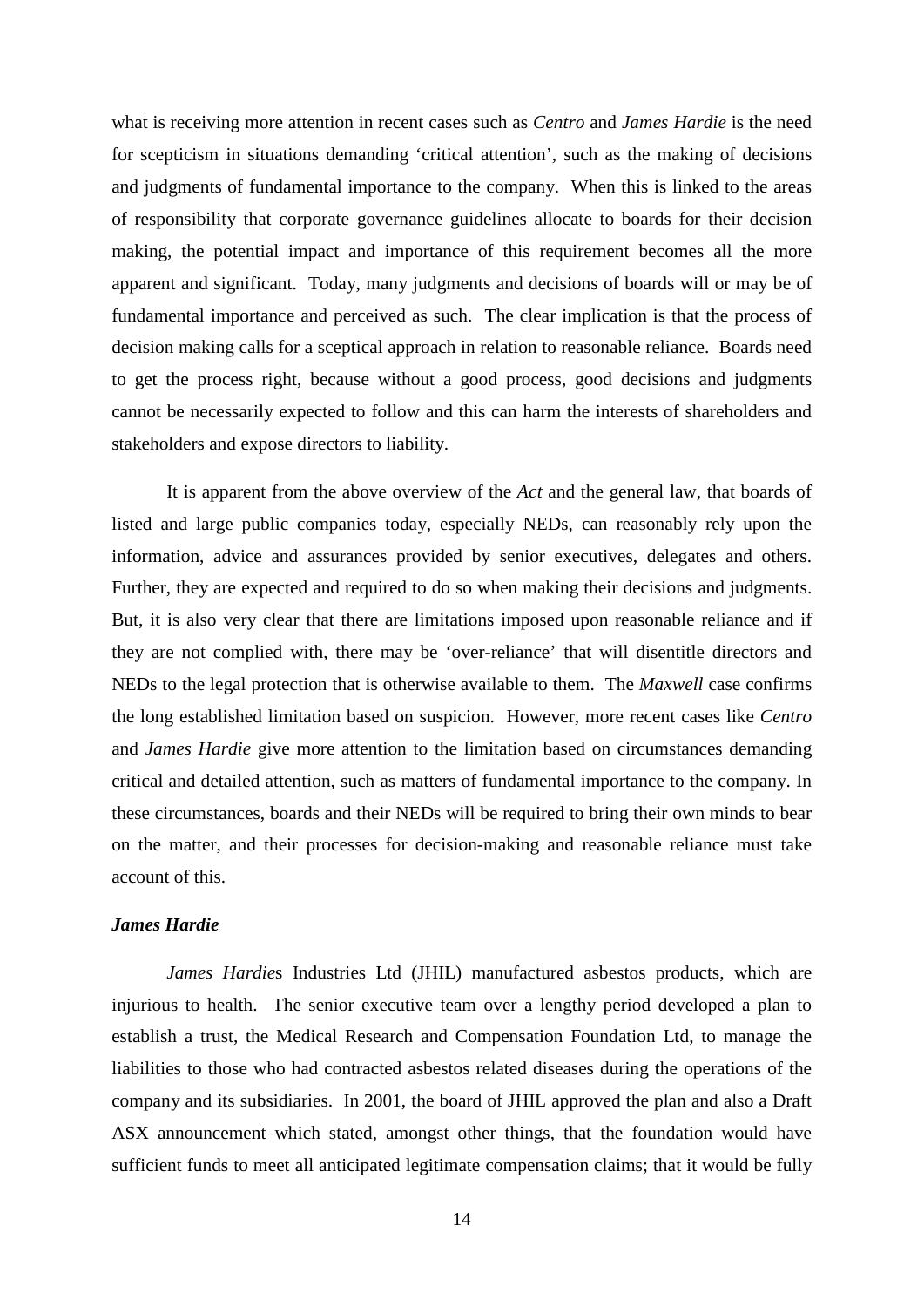what is receiving more attention in recent cases such as *Centro* and *James Hardie* is the need for scepticism in situations demanding 'critical attention', such as the making of decisions and judgments of fundamental importance to the company. When this is linked to the areas of responsibility that corporate governance guidelines allocate to boards for their decision making, the potential impact and importance of this requirement becomes all the more apparent and significant. Today, many judgments and decisions of boards will or may be of fundamental importance and perceived as such. The clear implication is that the process of decision making calls for a sceptical approach in relation to reasonable reliance. Boards need to get the process right, because without a good process, good decisions and judgments cannot be necessarily expected to follow and this can harm the interests of shareholders and stakeholders and expose directors to liability.

It is apparent from the above overview of the *Act* and the general law, that boards of listed and large public companies today, especially NEDs, can reasonably rely upon the information, advice and assurances provided by senior executives, delegates and others. Further, they are expected and required to do so when making their decisions and judgments. But, it is also very clear that there are limitations imposed upon reasonable reliance and if they are not complied with, there may be 'over-reliance' that will disentitle directors and NEDs to the legal protection that is otherwise available to them. The *Maxwell* case confirms the long established limitation based on suspicion. However, more recent cases like *Centro*  and *James Hardie* give more attention to the limitation based on circumstances demanding critical and detailed attention, such as matters of fundamental importance to the company. In these circumstances, boards and their NEDs will be required to bring their own minds to bear on the matter, and their processes for decision-making and reasonable reliance must take account of this.

# *James Hardie*

*James Hardie*s Industries Ltd (JHIL) manufactured asbestos products, which are injurious to health. The senior executive team over a lengthy period developed a plan to establish a trust, the Medical Research and Compensation Foundation Ltd, to manage the liabilities to those who had contracted asbestos related diseases during the operations of the company and its subsidiaries. In 2001, the board of JHIL approved the plan and also a Draft ASX announcement which stated, amongst other things, that the foundation would have sufficient funds to meet all anticipated legitimate compensation claims; that it would be fully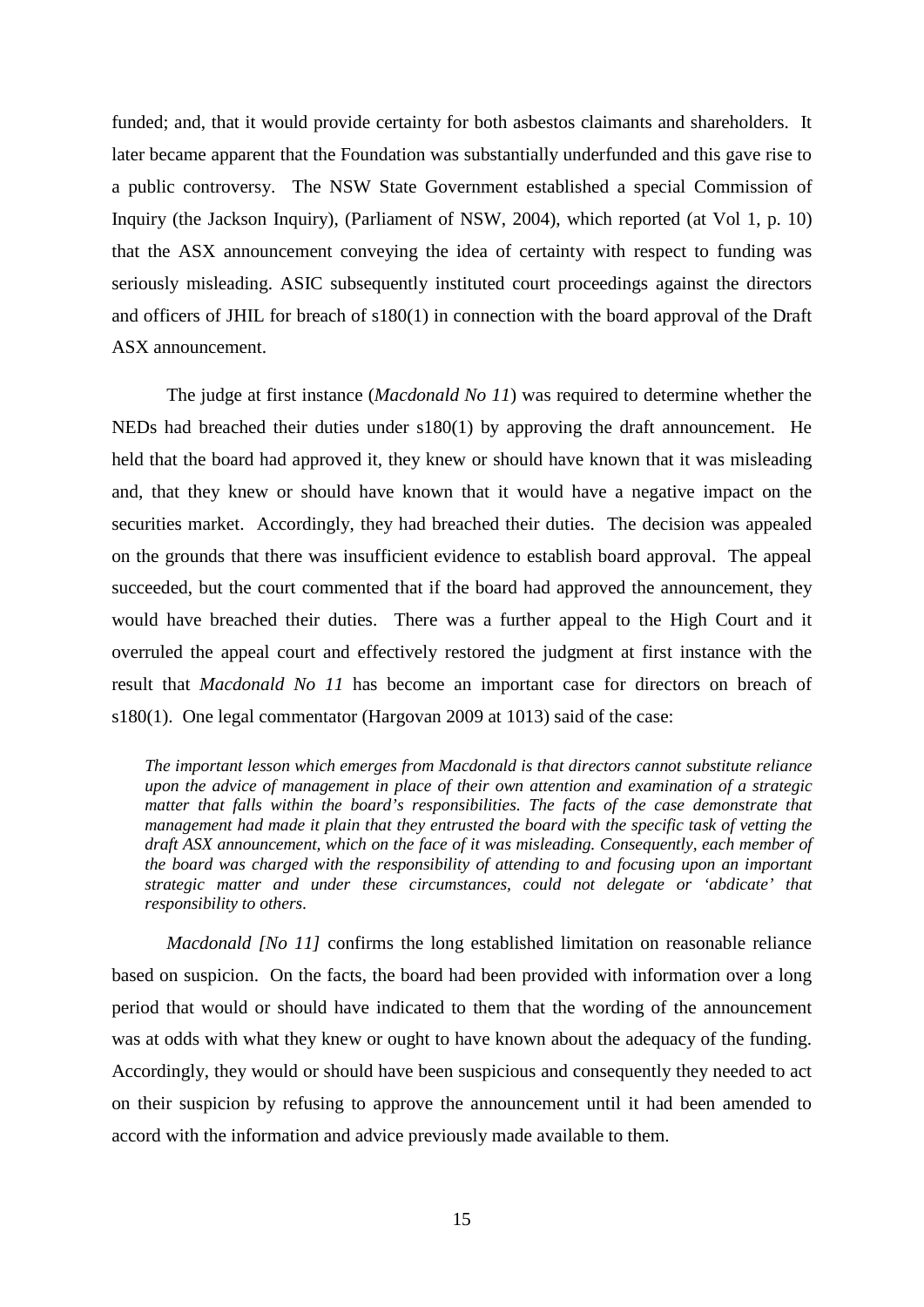funded; and, that it would provide certainty for both asbestos claimants and shareholders. It later became apparent that the Foundation was substantially underfunded and this gave rise to a public controversy. The NSW State Government established a special Commission of Inquiry (the Jackson Inquiry), (Parliament of NSW, 2004), which reported (at Vol 1, p. 10) that the ASX announcement conveying the idea of certainty with respect to funding was seriously misleading. ASIC subsequently instituted court proceedings against the directors and officers of JHIL for breach of s180(1) in connection with the board approval of the Draft ASX announcement.

The judge at first instance (*Macdonald No 11*) was required to determine whether the NEDs had breached their duties under s180(1) by approving the draft announcement. He held that the board had approved it, they knew or should have known that it was misleading and, that they knew or should have known that it would have a negative impact on the securities market. Accordingly, they had breached their duties. The decision was appealed on the grounds that there was insufficient evidence to establish board approval. The appeal succeeded, but the court commented that if the board had approved the announcement, they would have breached their duties. There was a further appeal to the High Court and it overruled the appeal court and effectively restored the judgment at first instance with the result that *Macdonald No 11* has become an important case for directors on breach of s180(1). One legal commentator (Hargovan 2009 at 1013) said of the case:

*The important lesson which emerges from Macdonald is that directors cannot substitute reliance upon the advice of management in place of their own attention and examination of a strategic matter that falls within the board's responsibilities. The facts of the case demonstrate that management had made it plain that they entrusted the board with the specific task of vetting the draft ASX announcement, which on the face of it was misleading. Consequently, each member of the board was charged with the responsibility of attending to and focusing upon an important strategic matter and under these circumstances, could not delegate or 'abdicate' that responsibility to others*.

*Macdonald [No 11]* confirms the long established limitation on reasonable reliance based on suspicion. On the facts, the board had been provided with information over a long period that would or should have indicated to them that the wording of the announcement was at odds with what they knew or ought to have known about the adequacy of the funding. Accordingly, they would or should have been suspicious and consequently they needed to act on their suspicion by refusing to approve the announcement until it had been amended to accord with the information and advice previously made available to them.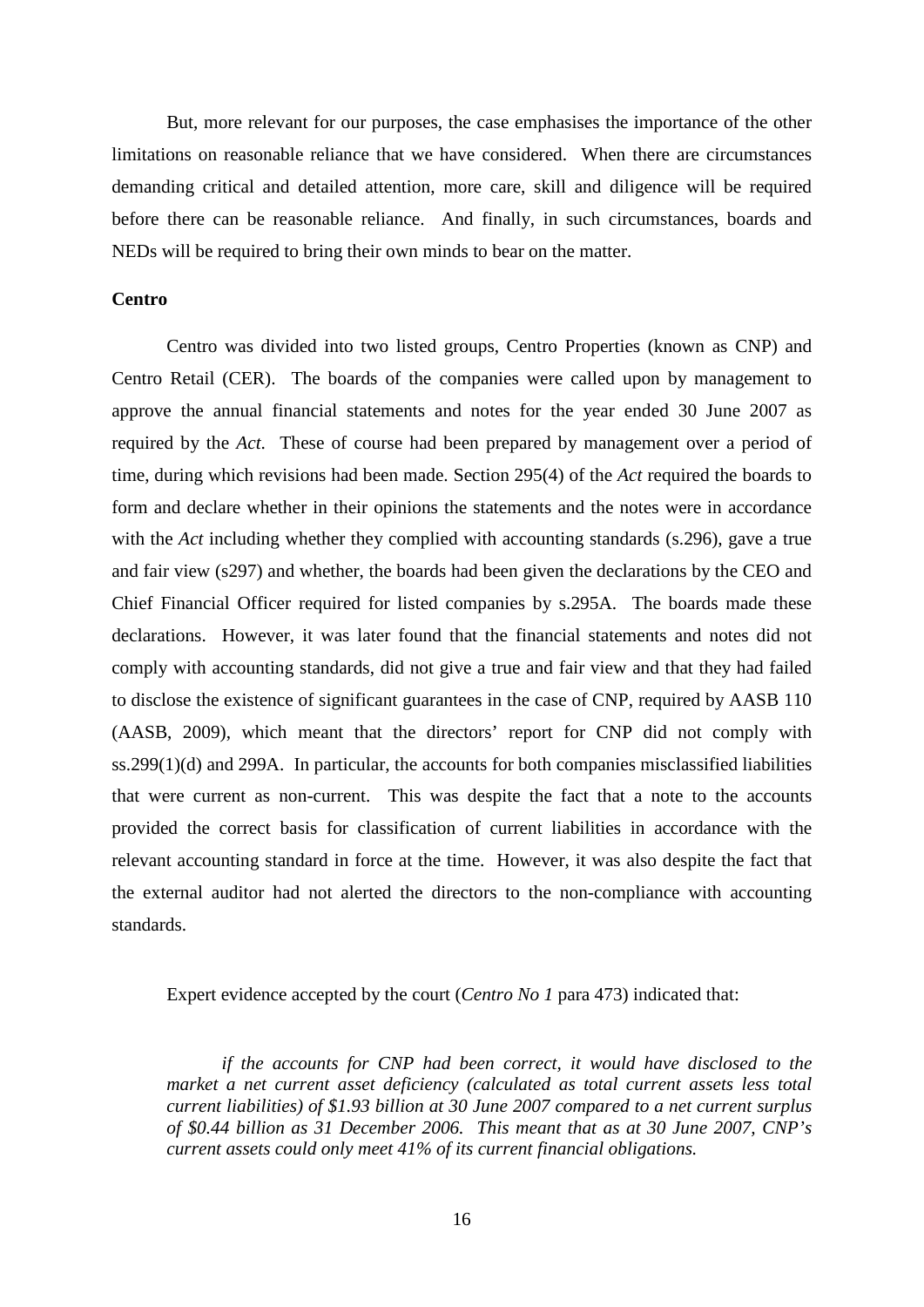But, more relevant for our purposes, the case emphasises the importance of the other limitations on reasonable reliance that we have considered. When there are circumstances demanding critical and detailed attention, more care, skill and diligence will be required before there can be reasonable reliance. And finally, in such circumstances, boards and NEDs will be required to bring their own minds to bear on the matter.

## **Centro**

Centro was divided into two listed groups, Centro Properties (known as CNP) and Centro Retail (CER). The boards of the companies were called upon by management to approve the annual financial statements and notes for the year ended 30 June 2007 as required by the *Act*. These of course had been prepared by management over a period of time, during which revisions had been made. Section 295(4) of the *Act* required the boards to form and declare whether in their opinions the statements and the notes were in accordance with the *Act* including whether they complied with accounting standards (s.296), gave a true and fair view (s297) and whether, the boards had been given the declarations by the CEO and Chief Financial Officer required for listed companies by s.295A. The boards made these declarations. However, it was later found that the financial statements and notes did not comply with accounting standards, did not give a true and fair view and that they had failed to disclose the existence of significant guarantees in the case of CNP, required by AASB 110 (AASB, 2009), which meant that the directors' report for CNP did not comply with ss.299(1)(d) and 299A. In particular, the accounts for both companies misclassified liabilities that were current as non-current. This was despite the fact that a note to the accounts provided the correct basis for classification of current liabilities in accordance with the relevant accounting standard in force at the time. However, it was also despite the fact that the external auditor had not alerted the directors to the non-compliance with accounting standards.

Expert evidence accepted by the court (*Centro No 1* para 473) indicated that:

*if the accounts for CNP had been correct, it would have disclosed to the market a net current asset deficiency (calculated as total current assets less total current liabilities) of \$1.93 billion at 30 June 2007 compared to a net current surplus of \$0.44 billion as 31 December 2006. This meant that as at 30 June 2007, CNP's current assets could only meet 41% of its current financial obligations.*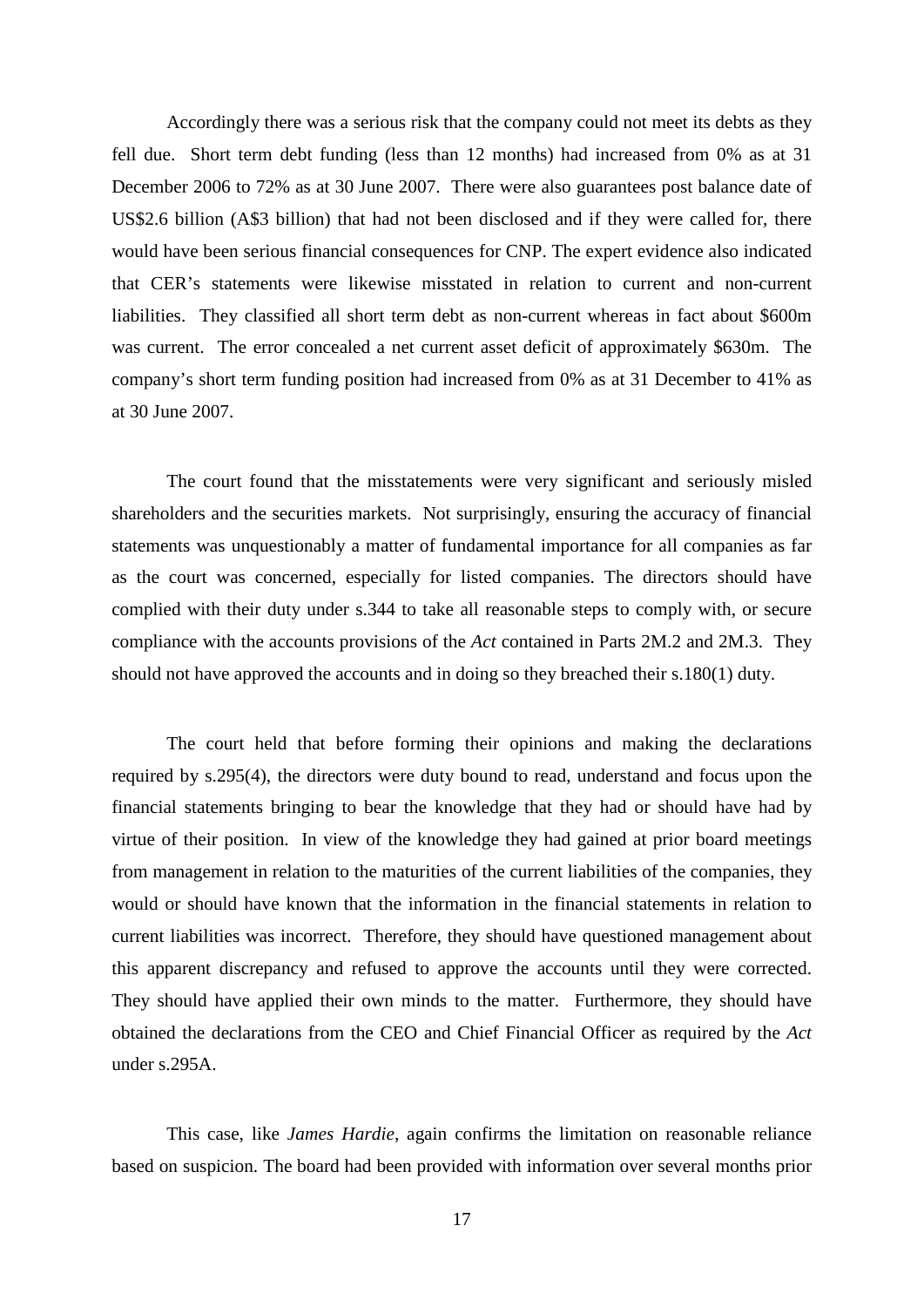Accordingly there was a serious risk that the company could not meet its debts as they fell due. Short term debt funding (less than 12 months) had increased from 0% as at 31 December 2006 to 72% as at 30 June 2007. There were also guarantees post balance date of US\$2.6 billion (A\$3 billion) that had not been disclosed and if they were called for, there would have been serious financial consequences for CNP. The expert evidence also indicated that CER's statements were likewise misstated in relation to current and non-current liabilities. They classified all short term debt as non-current whereas in fact about \$600m was current. The error concealed a net current asset deficit of approximately \$630m. The company's short term funding position had increased from 0% as at 31 December to 41% as at 30 June 2007.

The court found that the misstatements were very significant and seriously misled shareholders and the securities markets. Not surprisingly, ensuring the accuracy of financial statements was unquestionably a matter of fundamental importance for all companies as far as the court was concerned, especially for listed companies. The directors should have complied with their duty under s.344 to take all reasonable steps to comply with, or secure compliance with the accounts provisions of the *Act* contained in Parts 2M.2 and 2M.3. They should not have approved the accounts and in doing so they breached their s.180(1) duty.

The court held that before forming their opinions and making the declarations required by s.295(4), the directors were duty bound to read, understand and focus upon the financial statements bringing to bear the knowledge that they had or should have had by virtue of their position. In view of the knowledge they had gained at prior board meetings from management in relation to the maturities of the current liabilities of the companies, they would or should have known that the information in the financial statements in relation to current liabilities was incorrect. Therefore, they should have questioned management about this apparent discrepancy and refused to approve the accounts until they were corrected. They should have applied their own minds to the matter. Furthermore, they should have obtained the declarations from the CEO and Chief Financial Officer as required by the *Act*  under s.295A.

This case, like *James Hardie*, again confirms the limitation on reasonable reliance based on suspicion. The board had been provided with information over several months prior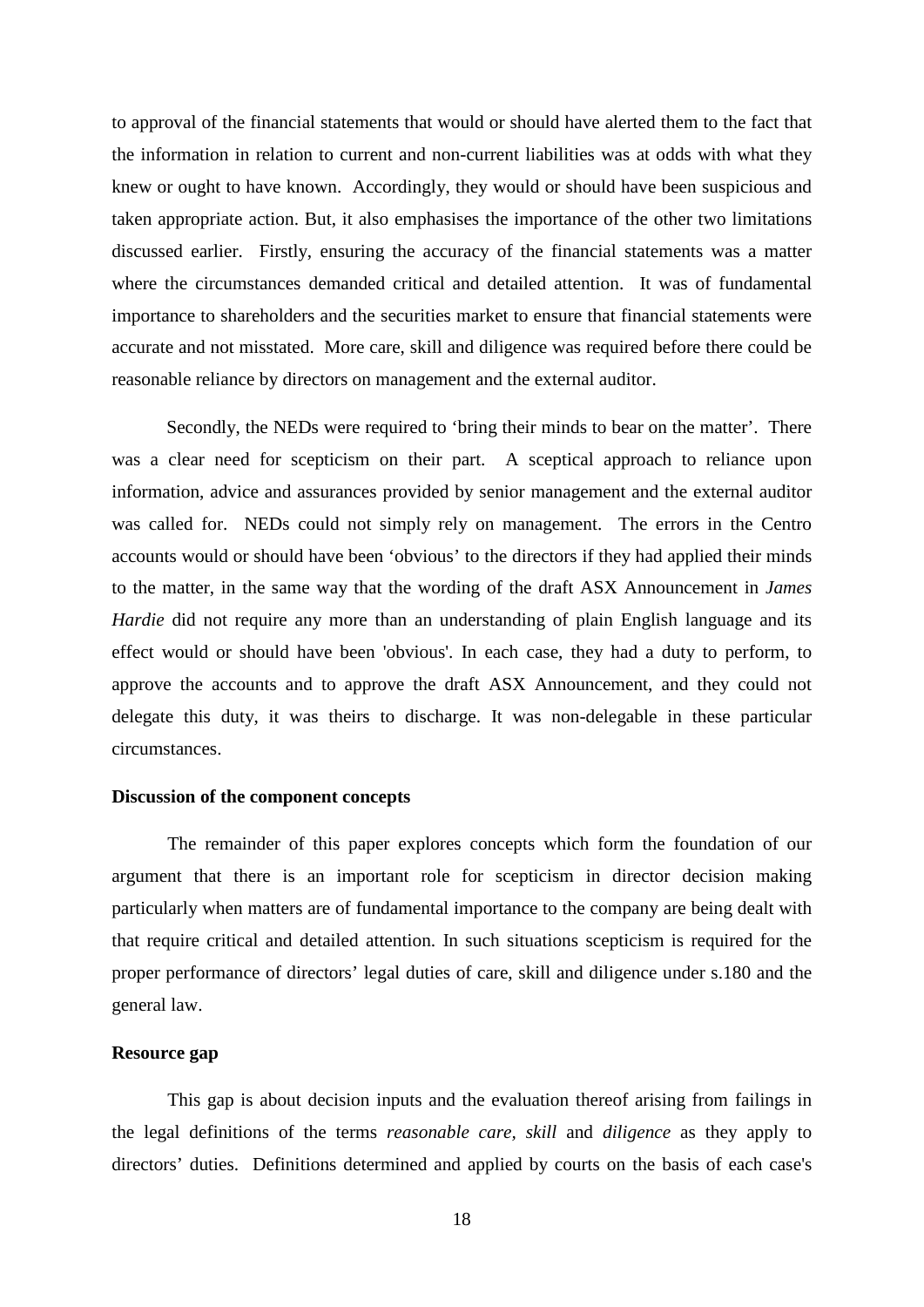to approval of the financial statements that would or should have alerted them to the fact that the information in relation to current and non-current liabilities was at odds with what they knew or ought to have known. Accordingly, they would or should have been suspicious and taken appropriate action. But, it also emphasises the importance of the other two limitations discussed earlier. Firstly, ensuring the accuracy of the financial statements was a matter where the circumstances demanded critical and detailed attention. It was of fundamental importance to shareholders and the securities market to ensure that financial statements were accurate and not misstated. More care, skill and diligence was required before there could be reasonable reliance by directors on management and the external auditor.

Secondly, the NEDs were required to 'bring their minds to bear on the matter'. There was a clear need for scepticism on their part. A sceptical approach to reliance upon information, advice and assurances provided by senior management and the external auditor was called for. NEDs could not simply rely on management. The errors in the Centro accounts would or should have been 'obvious' to the directors if they had applied their minds to the matter, in the same way that the wording of the draft ASX Announcement in *James Hardie* did not require any more than an understanding of plain English language and its effect would or should have been 'obvious'. In each case, they had a duty to perform, to approve the accounts and to approve the draft ASX Announcement, and they could not delegate this duty, it was theirs to discharge. It was non-delegable in these particular circumstances.

#### **Discussion of the component concepts**

The remainder of this paper explores concepts which form the foundation of our argument that there is an important role for scepticism in director decision making particularly when matters are of fundamental importance to the company are being dealt with that require critical and detailed attention. In such situations scepticism is required for the proper performance of directors' legal duties of care, skill and diligence under s.180 and the general law.

#### **Resource gap**

This gap is about decision inputs and the evaluation thereof arising from failings in the legal definitions of the terms *reasonable care, skill* and *diligence* as they apply to directors' duties. Definitions determined and applied by courts on the basis of each case's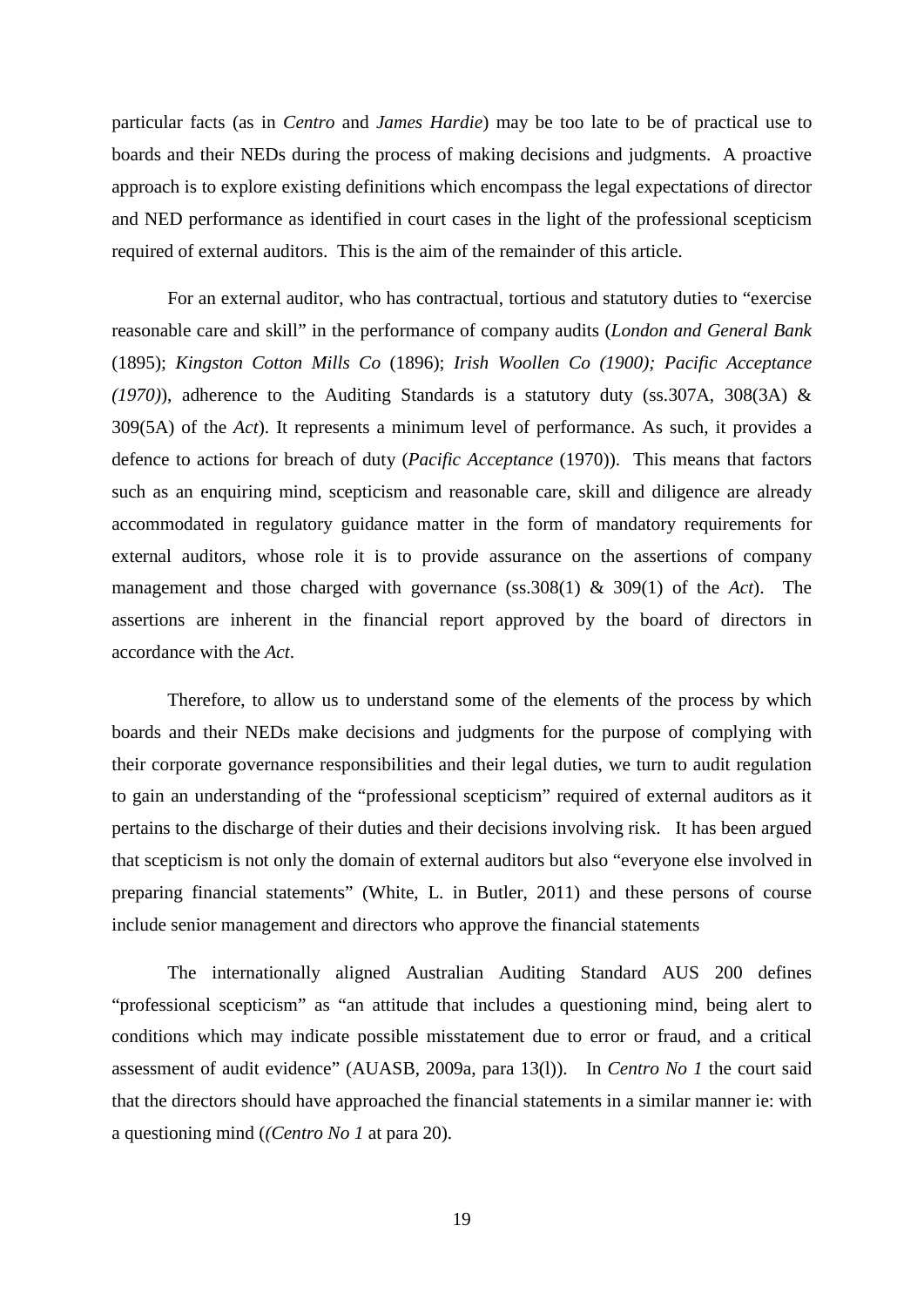particular facts (as in *Centro* and *James Hardie*) may be too late to be of practical use to boards and their NEDs during the process of making decisions and judgments. A proactive approach is to explore existing definitions which encompass the legal expectations of director and NED performance as identified in court cases in the light of the professional scepticism required of external auditors. This is the aim of the remainder of this article.

For an external auditor, who has contractual, tortious and statutory duties to "exercise reasonable care and skill" in the performance of company audits (*London and General Bank* (1895); *Kingston Cotton Mills Co* (1896); *Irish Woollen Co (1900); Pacific Acceptance (1970)*), adherence to the Auditing Standards is a statutory duty (ss.307A, 308(3A) & 309(5A) of the *Act*). It represents a minimum level of performance. As such, it provides a defence to actions for breach of duty (*Pacific Acceptance* (1970)). This means that factors such as an enquiring mind, scepticism and reasonable care, skill and diligence are already accommodated in regulatory guidance matter in the form of mandatory requirements for external auditors, whose role it is to provide assurance on the assertions of company management and those charged with governance (ss.308(1) & 309(1) of the *Act*).The assertions are inherent in the financial report approved by the board of directors in accordance with the *Act*.

Therefore, to allow us to understand some of the elements of the process by which boards and their NEDs make decisions and judgments for the purpose of complying with their corporate governance responsibilities and their legal duties, we turn to audit regulation to gain an understanding of the "professional scepticism" required of external auditors as it pertains to the discharge of their duties and their decisions involving risk. It has been argued that scepticism is not only the domain of external auditors but also "everyone else involved in preparing financial statements" (White, L. in Butler, 2011) and these persons of course include senior management and directors who approve the financial statements

The internationally aligned Australian Auditing Standard AUS 200 defines "professional scepticism" as "an attitude that includes a questioning mind, being alert to conditions which may indicate possible misstatement due to error or fraud, and a critical assessment of audit evidence" (AUASB, 2009a, para 13(l)). In *Centro No 1* the court said that the directors should have approached the financial statements in a similar manner ie: with a questioning mind (*(Centro No 1* at para 20).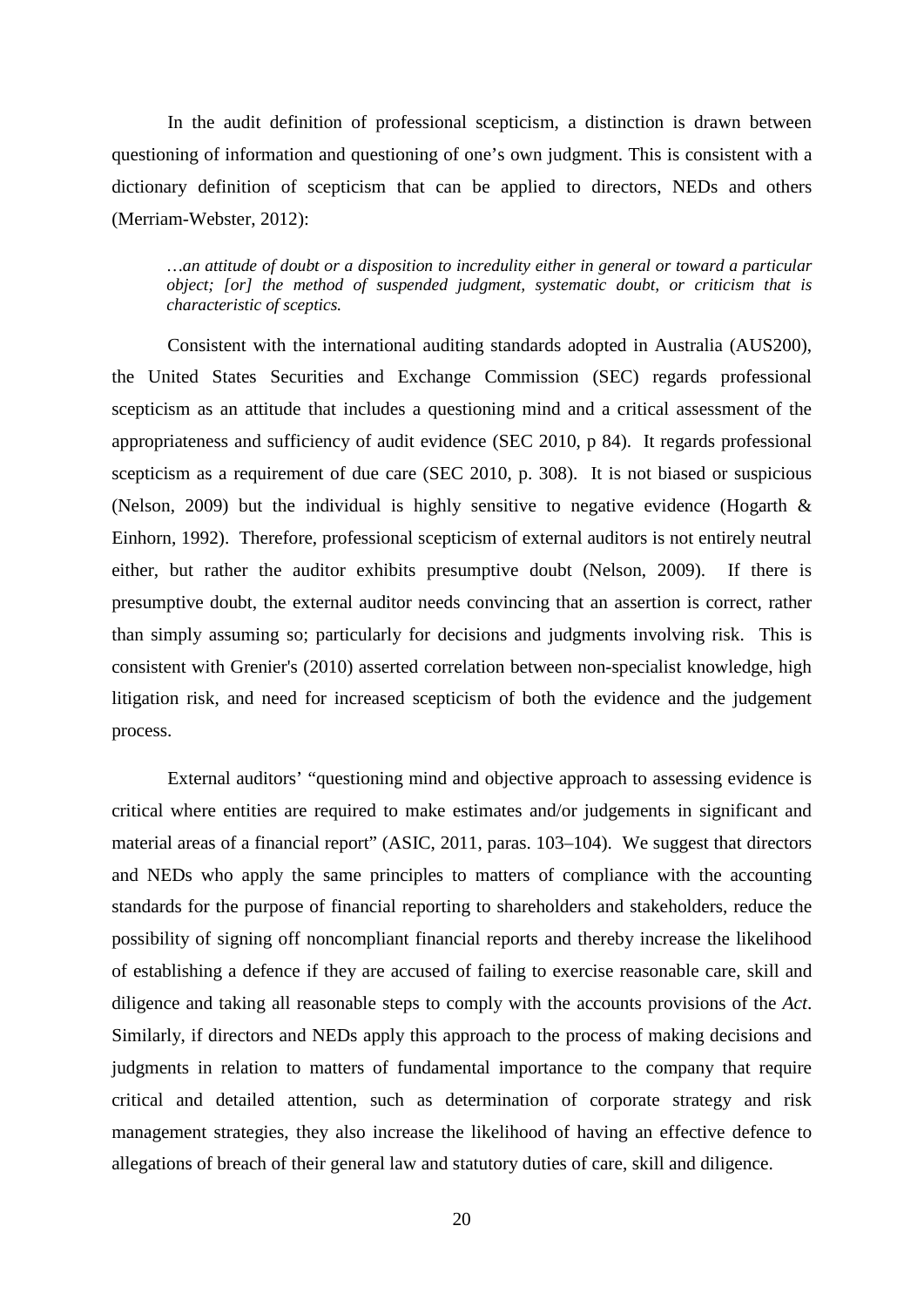In the audit definition of professional scepticism, a distinction is drawn between questioning of information and questioning of one's own judgment. This is consistent with a dictionary definition of scepticism that can be applied to directors, NEDs and others (Merriam-Webster, 2012):

*…an attitude of doubt or a disposition to incredulity either in general or toward a particular object; [or] the method of suspended judgment, systematic doubt, or criticism that is characteristic of sceptics.*

Consistent with the international auditing standards adopted in Australia (AUS200), the United States Securities and Exchange Commission (SEC) regards professional scepticism as an attitude that includes a questioning mind and a critical assessment of the appropriateness and sufficiency of audit evidence (SEC 2010, p 84). It regards professional scepticism as a requirement of due care (SEC 2010, p. 308). It is not biased or suspicious (Nelson, 2009) but the individual is highly sensitive to negative evidence (Hogarth & Einhorn, 1992). Therefore, professional scepticism of external auditors is not entirely neutral either, but rather the auditor exhibits presumptive doubt (Nelson, 2009). If there is presumptive doubt, the external auditor needs convincing that an assertion is correct, rather than simply assuming so; particularly for decisions and judgments involving risk. This is consistent with Grenier's (2010) asserted correlation between non-specialist knowledge, high litigation risk, and need for increased scepticism of both the evidence and the judgement process.

External auditors' "questioning mind and objective approach to assessing evidence is critical where entities are required to make estimates and/or judgements in significant and material areas of a financial report" (ASIC, 2011, paras. 103–104). We suggest that directors and NEDs who apply the same principles to matters of compliance with the accounting standards for the purpose of financial reporting to shareholders and stakeholders, reduce the possibility of signing off noncompliant financial reports and thereby increase the likelihood of establishing a defence if they are accused of failing to exercise reasonable care, skill and diligence and taking all reasonable steps to comply with the accounts provisions of the *Act*. Similarly, if directors and NEDs apply this approach to the process of making decisions and judgments in relation to matters of fundamental importance to the company that require critical and detailed attention, such as determination of corporate strategy and risk management strategies, they also increase the likelihood of having an effective defence to allegations of breach of their general law and statutory duties of care, skill and diligence.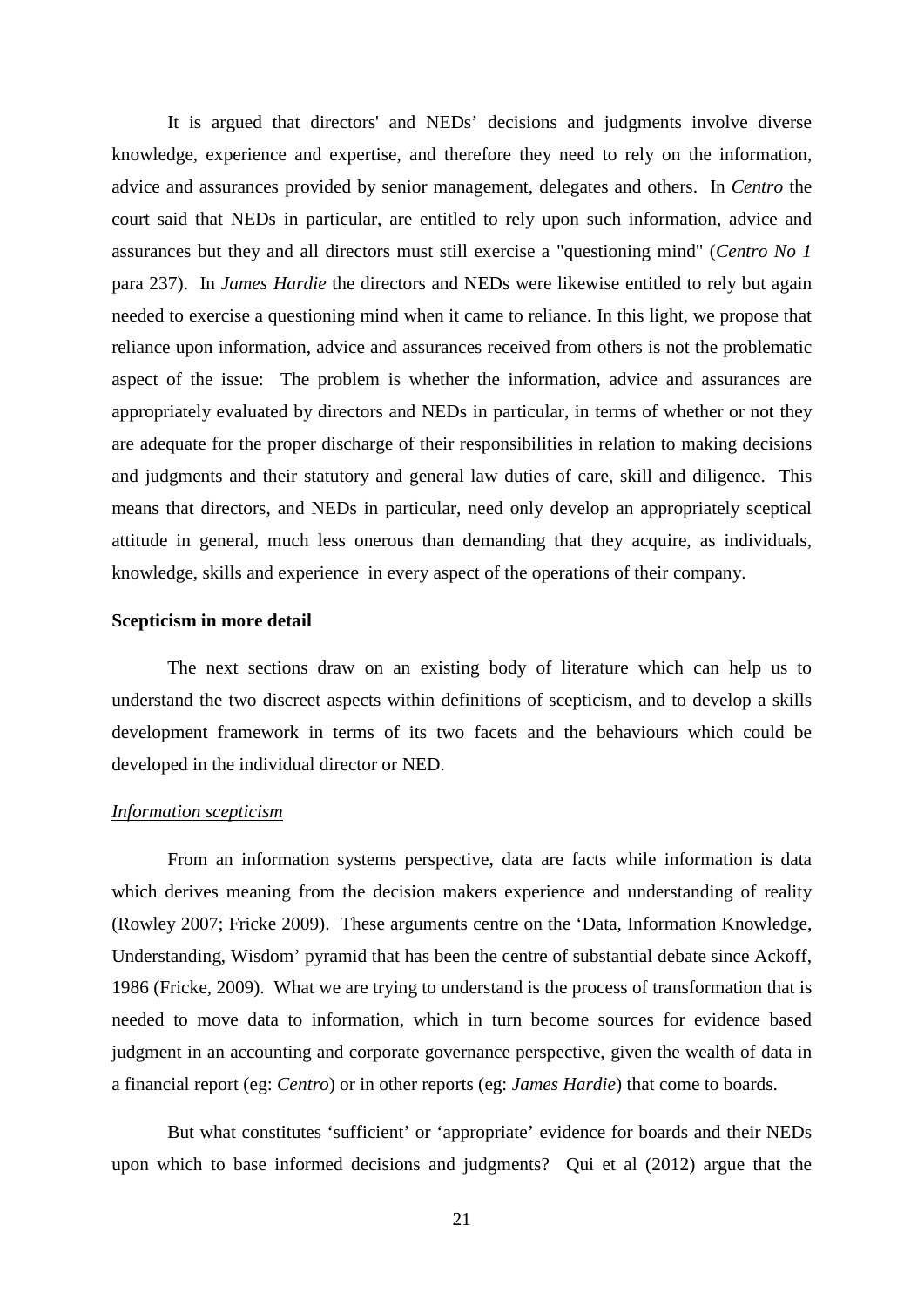It is argued that directors' and NEDs' decisions and judgments involve diverse knowledge, experience and expertise, and therefore they need to rely on the information, advice and assurances provided by senior management, delegates and others. In *Centro* the court said that NEDs in particular, are entitled to rely upon such information, advice and assurances but they and all directors must still exercise a "questioning mind" (*Centro No 1* para 237). In *James Hardie* the directors and NEDs were likewise entitled to rely but again needed to exercise a questioning mind when it came to reliance. In this light, we propose that reliance upon information, advice and assurances received from others is not the problematic aspect of the issue: The problem is whether the information, advice and assurances are appropriately evaluated by directors and NEDs in particular, in terms of whether or not they are adequate for the proper discharge of their responsibilities in relation to making decisions and judgments and their statutory and general law duties of care, skill and diligence. This means that directors, and NEDs in particular, need only develop an appropriately sceptical attitude in general, much less onerous than demanding that they acquire, as individuals, knowledge, skills and experience in every aspect of the operations of their company.

#### **Scepticism in more detail**

The next sections draw on an existing body of literature which can help us to understand the two discreet aspects within definitions of scepticism, and to develop a skills development framework in terms of its two facets and the behaviours which could be developed in the individual director or NED.

#### *Information scepticism*

From an information systems perspective, data are facts while information is data which derives meaning from the decision makers experience and understanding of reality (Rowley 2007; Fricke 2009). These arguments centre on the 'Data, Information Knowledge, Understanding, Wisdom' pyramid that has been the centre of substantial debate since Ackoff, 1986 (Fricke, 2009). What we are trying to understand is the process of transformation that is needed to move data to information, which in turn become sources for evidence based judgment in an accounting and corporate governance perspective, given the wealth of data in a financial report (eg: *Centro*) or in other reports (eg: *James Hardie*) that come to boards.

But what constitutes 'sufficient' or 'appropriate' evidence for boards and their NEDs upon which to base informed decisions and judgments? Qui et al (2012) argue that the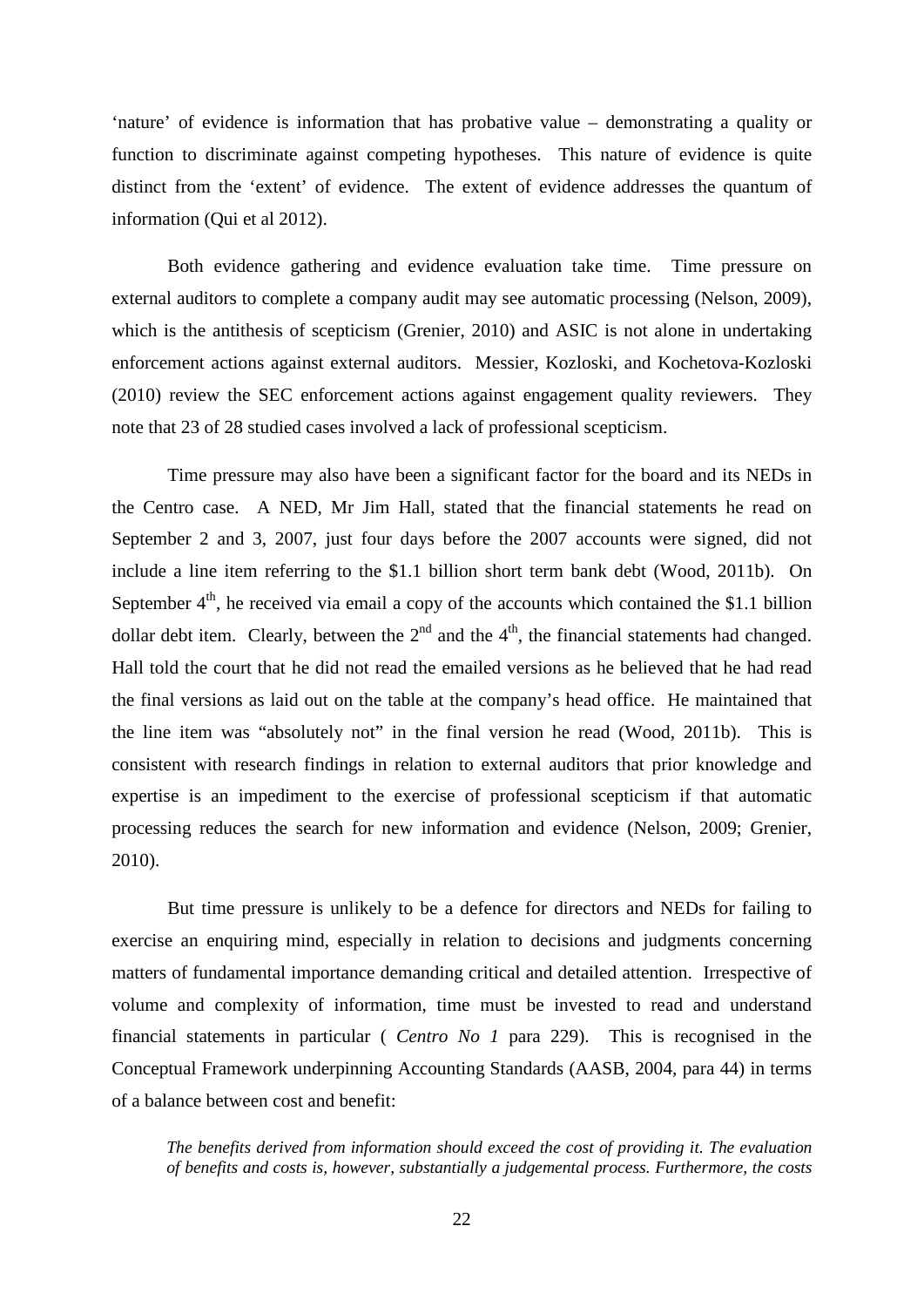'nature' of evidence is information that has probative value – demonstrating a quality or function to discriminate against competing hypotheses. This nature of evidence is quite distinct from the 'extent' of evidence. The extent of evidence addresses the quantum of information (Qui et al 2012).

Both evidence gathering and evidence evaluation take time. Time pressure on external auditors to complete a company audit may see automatic processing (Nelson, 2009), which is the antithesis of scepticism (Grenier, 2010) and ASIC is not alone in undertaking enforcement actions against external auditors. Messier, Kozloski, and Kochetova-Kozloski (2010) review the SEC enforcement actions against engagement quality reviewers. They note that 23 of 28 studied cases involved a lack of professional scepticism.

Time pressure may also have been a significant factor for the board and its NEDs in the Centro case. A NED, Mr Jim Hall, stated that the financial statements he read on September 2 and 3, 2007, just four days before the 2007 accounts were signed, did not include a line item referring to the \$1.1 billion short term bank debt (Wood, 2011b). On September  $4<sup>th</sup>$ , he received via email a copy of the accounts which contained the \$1.1 billion dollar debt item. Clearly, between the  $2<sup>nd</sup>$  and the  $4<sup>th</sup>$ , the financial statements had changed. Hall told the court that he did not read the emailed versions as he believed that he had read the final versions as laid out on the table at the company's head office. He maintained that the line item was "absolutely not" in the final version he read (Wood, 2011b). This is consistent with research findings in relation to external auditors that prior knowledge and expertise is an impediment to the exercise of professional scepticism if that automatic processing reduces the search for new information and evidence (Nelson, 2009; Grenier, 2010).

But time pressure is unlikely to be a defence for directors and NEDs for failing to exercise an enquiring mind, especially in relation to decisions and judgments concerning matters of fundamental importance demanding critical and detailed attention. Irrespective of volume and complexity of information, time must be invested to read and understand financial statements in particular ( *Centro No 1* para 229). This is recognised in the Conceptual Framework underpinning Accounting Standards (AASB, 2004, para 44) in terms of a balance between cost and benefit:

*The benefits derived from information should exceed the cost of providing it. The evaluation of benefits and costs is, however, substantially a judgemental process. Furthermore, the costs*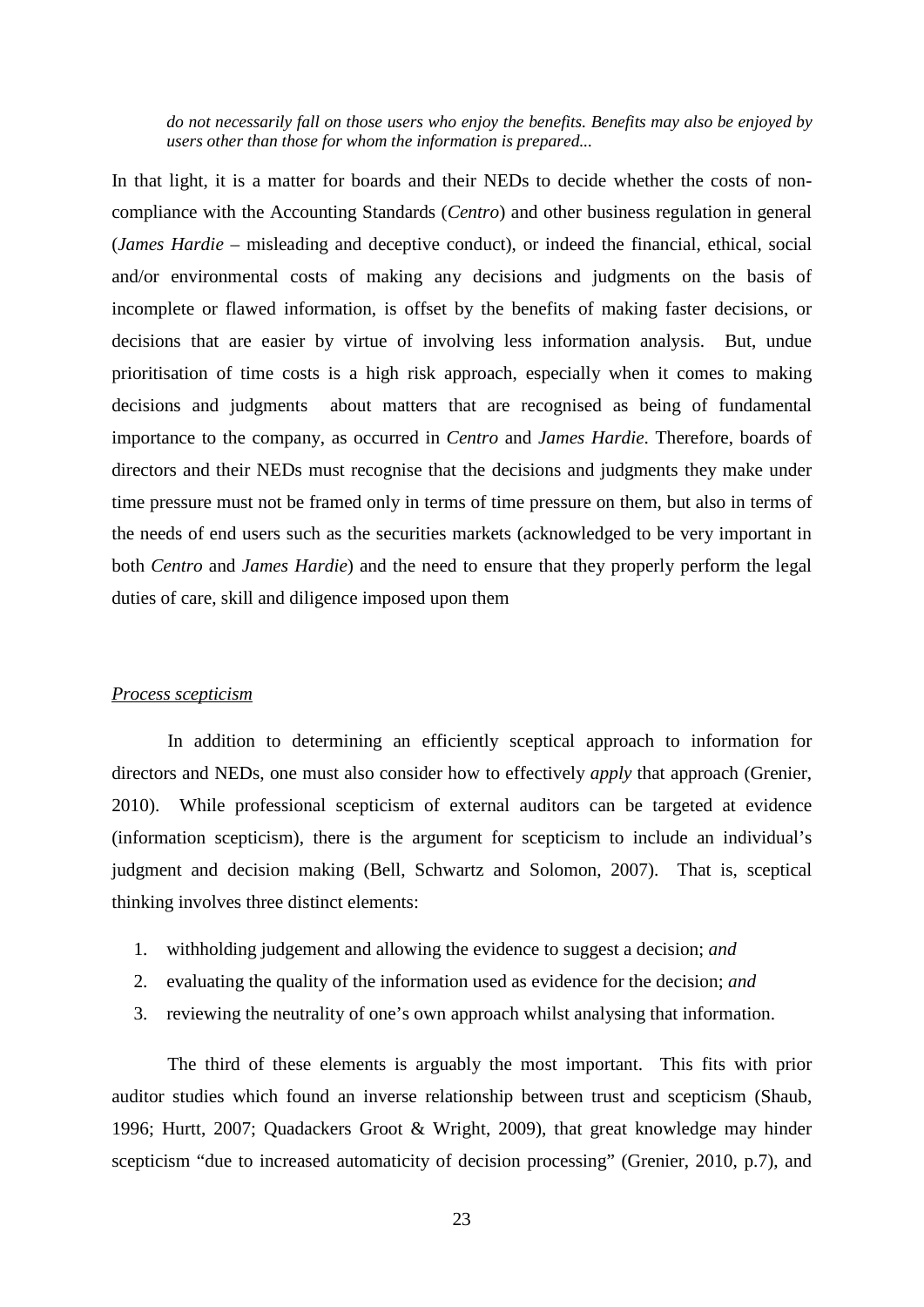*do not necessarily fall on those users who enjoy the benefits. Benefits may also be enjoyed by users other than those for whom the information is prepared...*

In that light, it is a matter for boards and their NEDs to decide whether the costs of noncompliance with the Accounting Standards (*Centro*) and other business regulation in general (*James Hardie* – misleading and deceptive conduct), or indeed the financial, ethical, social and/or environmental costs of making any decisions and judgments on the basis of incomplete or flawed information, is offset by the benefits of making faster decisions, or decisions that are easier by virtue of involving less information analysis. But, undue prioritisation of time costs is a high risk approach, especially when it comes to making decisions and judgments about matters that are recognised as being of fundamental importance to the company, as occurred in *Centro* and *James Hardie*. Therefore, boards of directors and their NEDs must recognise that the decisions and judgments they make under time pressure must not be framed only in terms of time pressure on them, but also in terms of the needs of end users such as the securities markets (acknowledged to be very important in both *Centro* and *James Hardie*) and the need to ensure that they properly perform the legal duties of care, skill and diligence imposed upon them

#### *Process scepticism*

In addition to determining an efficiently sceptical approach to information for directors and NEDs, one must also consider how to effectively *apply* that approach (Grenier, 2010). While professional scepticism of external auditors can be targeted at evidence (information scepticism), there is the argument for scepticism to include an individual's judgment and decision making (Bell, Schwartz and Solomon, 2007). That is, sceptical thinking involves three distinct elements:

- 1. withholding judgement and allowing the evidence to suggest a decision; *and*
- 2. evaluating the quality of the information used as evidence for the decision; *and*
- 3. reviewing the neutrality of one's own approach whilst analysing that information.

The third of these elements is arguably the most important. This fits with prior auditor studies which found an inverse relationship between trust and scepticism (Shaub, 1996; Hurtt, 2007; Quadackers Groot & Wright, 2009), that great knowledge may hinder scepticism "due to increased automaticity of decision processing" (Grenier, 2010, p.7), and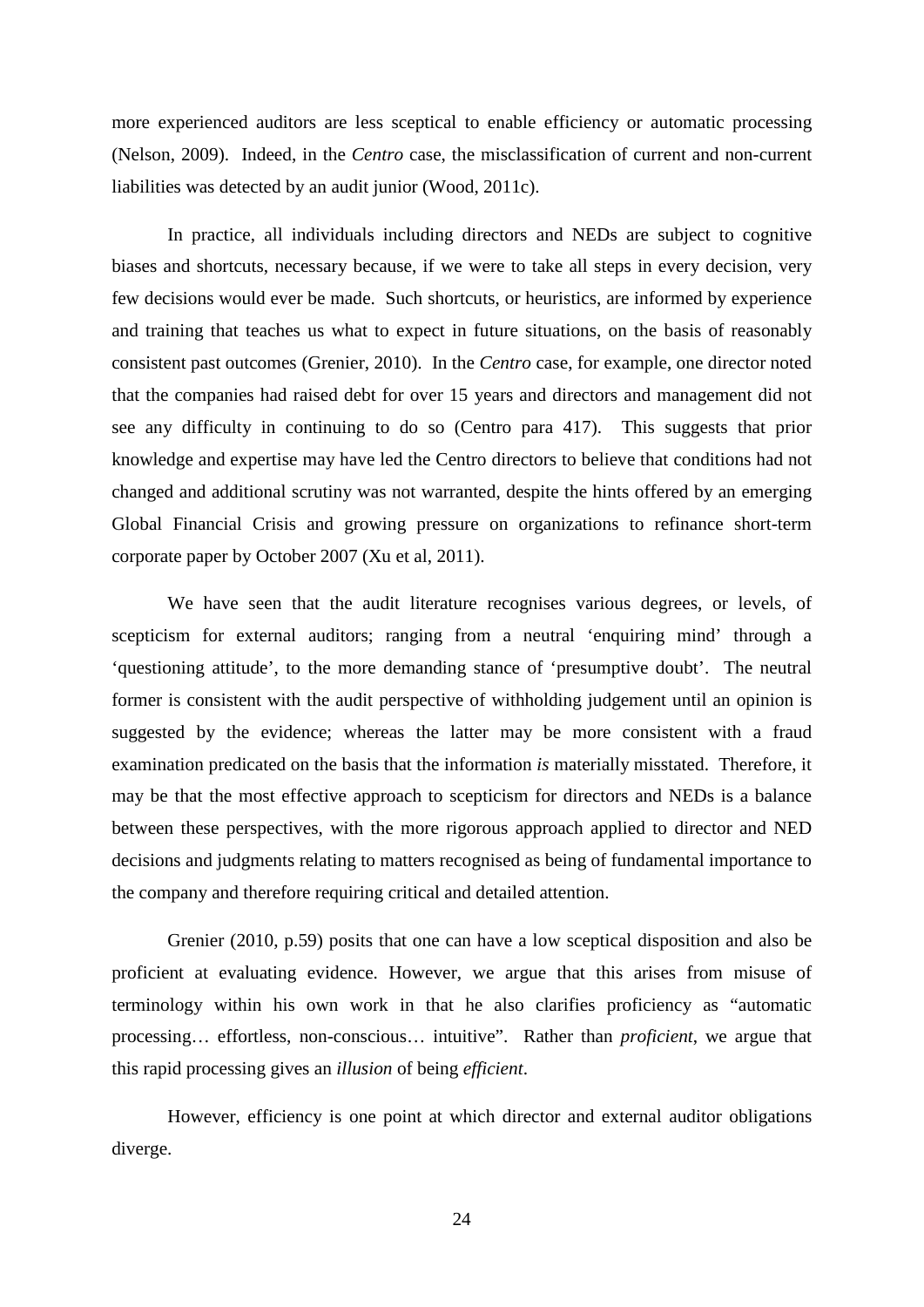more experienced auditors are less sceptical to enable efficiency or automatic processing (Nelson, 2009). Indeed, in the *Centro* case, the misclassification of current and non-current liabilities was detected by an audit junior (Wood, 2011c).

In practice, all individuals including directors and NEDs are subject to cognitive biases and shortcuts, necessary because, if we were to take all steps in every decision, very few decisions would ever be made. Such shortcuts, or heuristics, are informed by experience and training that teaches us what to expect in future situations, on the basis of reasonably consistent past outcomes (Grenier, 2010). In the *Centro* case, for example, one director noted that the companies had raised debt for over 15 years and directors and management did not see any difficulty in continuing to do so (Centro para 417). This suggests that prior knowledge and expertise may have led the Centro directors to believe that conditions had not changed and additional scrutiny was not warranted, despite the hints offered by an emerging Global Financial Crisis and growing pressure on organizations to refinance short-term corporate paper by October 2007 (Xu et al, 2011).

We have seen that the audit literature recognises various degrees, or levels, of scepticism for external auditors; ranging from a neutral 'enquiring mind' through a 'questioning attitude', to the more demanding stance of 'presumptive doubt'. The neutral former is consistent with the audit perspective of withholding judgement until an opinion is suggested by the evidence; whereas the latter may be more consistent with a fraud examination predicated on the basis that the information *is* materially misstated. Therefore, it may be that the most effective approach to scepticism for directors and NEDs is a balance between these perspectives, with the more rigorous approach applied to director and NED decisions and judgments relating to matters recognised as being of fundamental importance to the company and therefore requiring critical and detailed attention.

Grenier (2010, p.59) posits that one can have a low sceptical disposition and also be proficient at evaluating evidence. However, we argue that this arises from misuse of terminology within his own work in that he also clarifies proficiency as "automatic processing… effortless, non-conscious… intuitive". Rather than *proficient*, we argue that this rapid processing gives an *illusion* of being *efficient*.

However, efficiency is one point at which director and external auditor obligations diverge.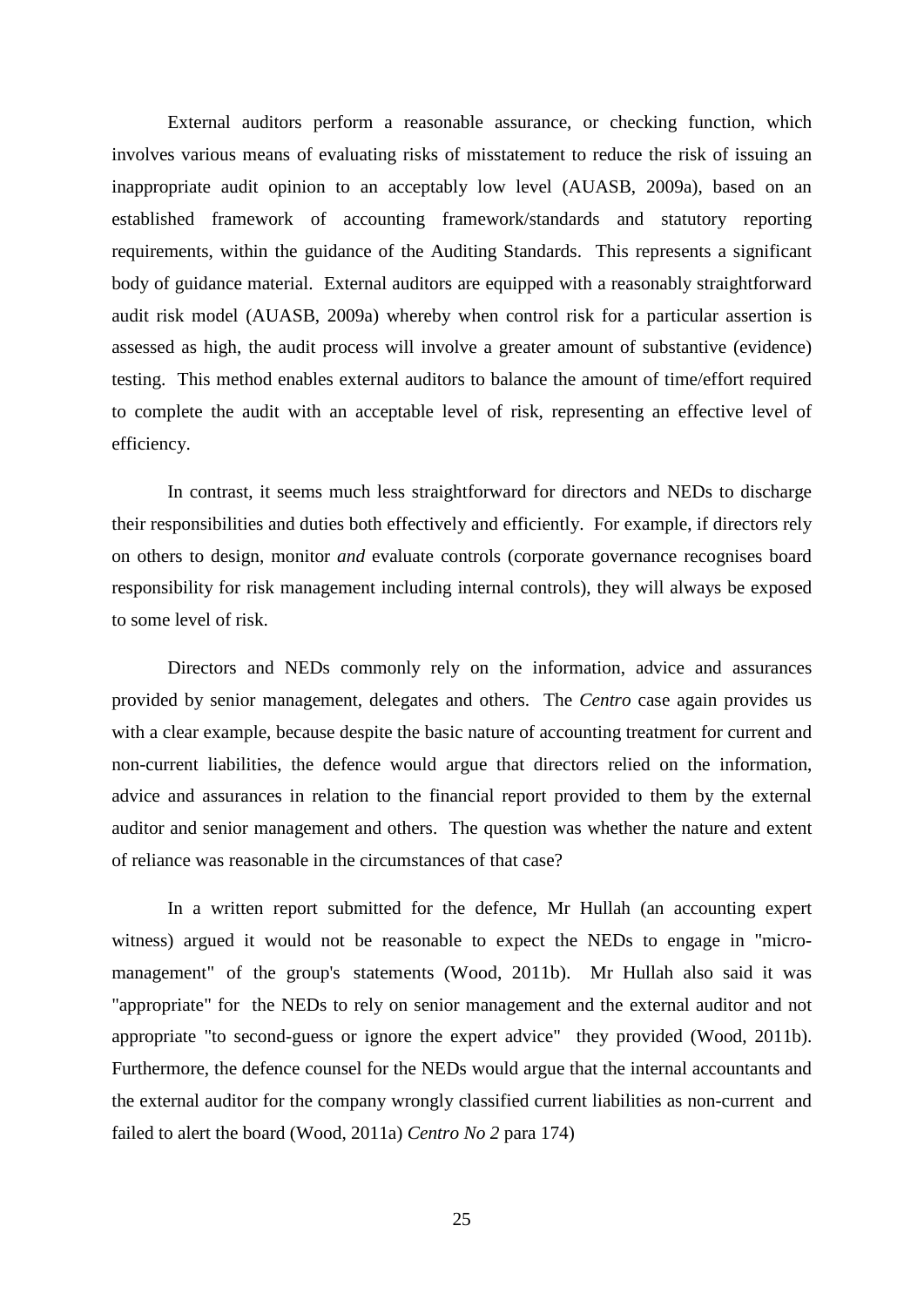External auditors perform a reasonable assurance, or checking function, which involves various means of evaluating risks of misstatement to reduce the risk of issuing an inappropriate audit opinion to an acceptably low level (AUASB, 2009a), based on an established framework of accounting framework/standards and statutory reporting requirements, within the guidance of the Auditing Standards. This represents a significant body of guidance material. External auditors are equipped with a reasonably straightforward audit risk model (AUASB, 2009a) whereby when control risk for a particular assertion is assessed as high, the audit process will involve a greater amount of substantive (evidence) testing. This method enables external auditors to balance the amount of time/effort required to complete the audit with an acceptable level of risk, representing an effective level of efficiency.

In contrast, it seems much less straightforward for directors and NEDs to discharge their responsibilities and duties both effectively and efficiently. For example, if directors rely on others to design, monitor *and* evaluate controls (corporate governance recognises board responsibility for risk management including internal controls), they will always be exposed to some level of risk.

Directors and NEDs commonly rely on the information, advice and assurances provided by senior management, delegates and others. The *Centro* case again provides us with a clear example, because despite the basic nature of accounting treatment for current and non-current liabilities, the defence would argue that directors relied on the information, advice and assurances in relation to the financial report provided to them by the external auditor and senior management and others. The question was whether the nature and extent of reliance was reasonable in the circumstances of that case?

In a written report submitted for the defence, Mr Hullah (an accounting expert witness) argued it would not be reasonable to expect the NEDs to engage in "micromanagement" of the group's statements (Wood, 2011b). Mr Hullah also said it was "appropriate" for the NEDs to rely on senior management and the external auditor and not appropriate "to second-guess or ignore the expert advice" they provided (Wood, 2011b). Furthermore, the defence counsel for the NEDs would argue that the internal accountants and the external auditor for the company wrongly classified current liabilities as non-current and failed to alert the board (Wood, 2011a) *Centro No 2* para 174)

25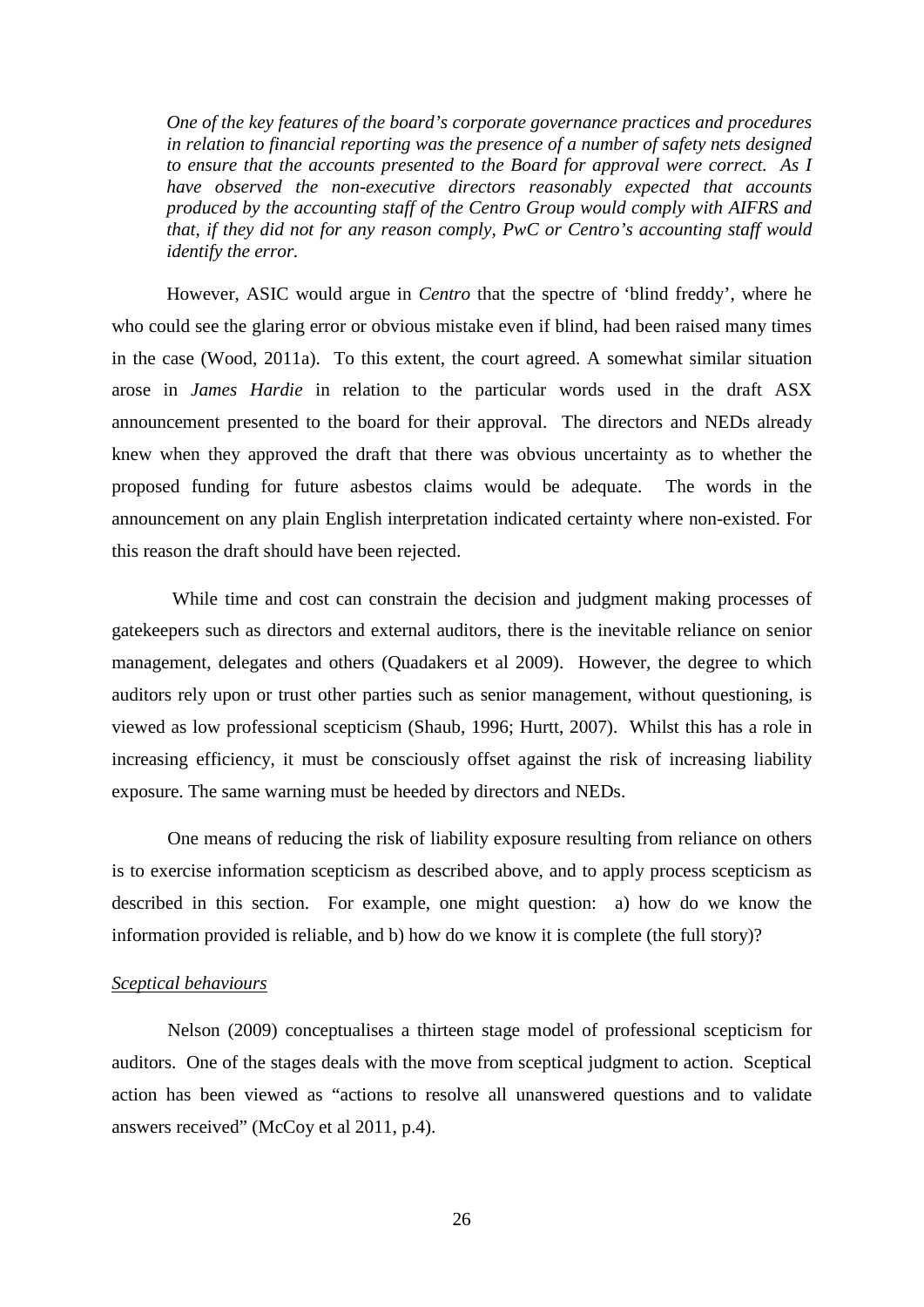*One of the key features of the board's corporate governance practices and procedures in relation to financial reporting was the presence of a number of safety nets designed to ensure that the accounts presented to the Board for approval were correct. As I have observed the non-executive directors reasonably expected that accounts produced by the accounting staff of the Centro Group would comply with AIFRS and that, if they did not for any reason comply, PwC or Centro's accounting staff would identify the error.*

However, ASIC would argue in *Centro* that the spectre of 'blind freddy', where he who could see the glaring error or obvious mistake even if blind, had been raised many times in the case (Wood, 2011a). To this extent, the court agreed. A somewhat similar situation arose in *James Hardie* in relation to the particular words used in the draft ASX announcement presented to the board for their approval. The directors and NEDs already knew when they approved the draft that there was obvious uncertainty as to whether the proposed funding for future asbestos claims would be adequate. The words in the announcement on any plain English interpretation indicated certainty where non-existed. For this reason the draft should have been rejected.

While time and cost can constrain the decision and judgment making processes of gatekeepers such as directors and external auditors, there is the inevitable reliance on senior management, delegates and others (Quadakers et al 2009). However, the degree to which auditors rely upon or trust other parties such as senior management, without questioning, is viewed as low professional scepticism (Shaub, 1996; Hurtt, 2007). Whilst this has a role in increasing efficiency, it must be consciously offset against the risk of increasing liability exposure. The same warning must be heeded by directors and NEDs.

One means of reducing the risk of liability exposure resulting from reliance on others is to exercise information scepticism as described above, and to apply process scepticism as described in this section. For example, one might question: a) how do we know the information provided is reliable, and b) how do we know it is complete (the full story)?

#### *Sceptical behaviours*

Nelson (2009) conceptualises a thirteen stage model of professional scepticism for auditors. One of the stages deals with the move from sceptical judgment to action. Sceptical action has been viewed as "actions to resolve all unanswered questions and to validate answers received" (McCoy et al 2011, p.4).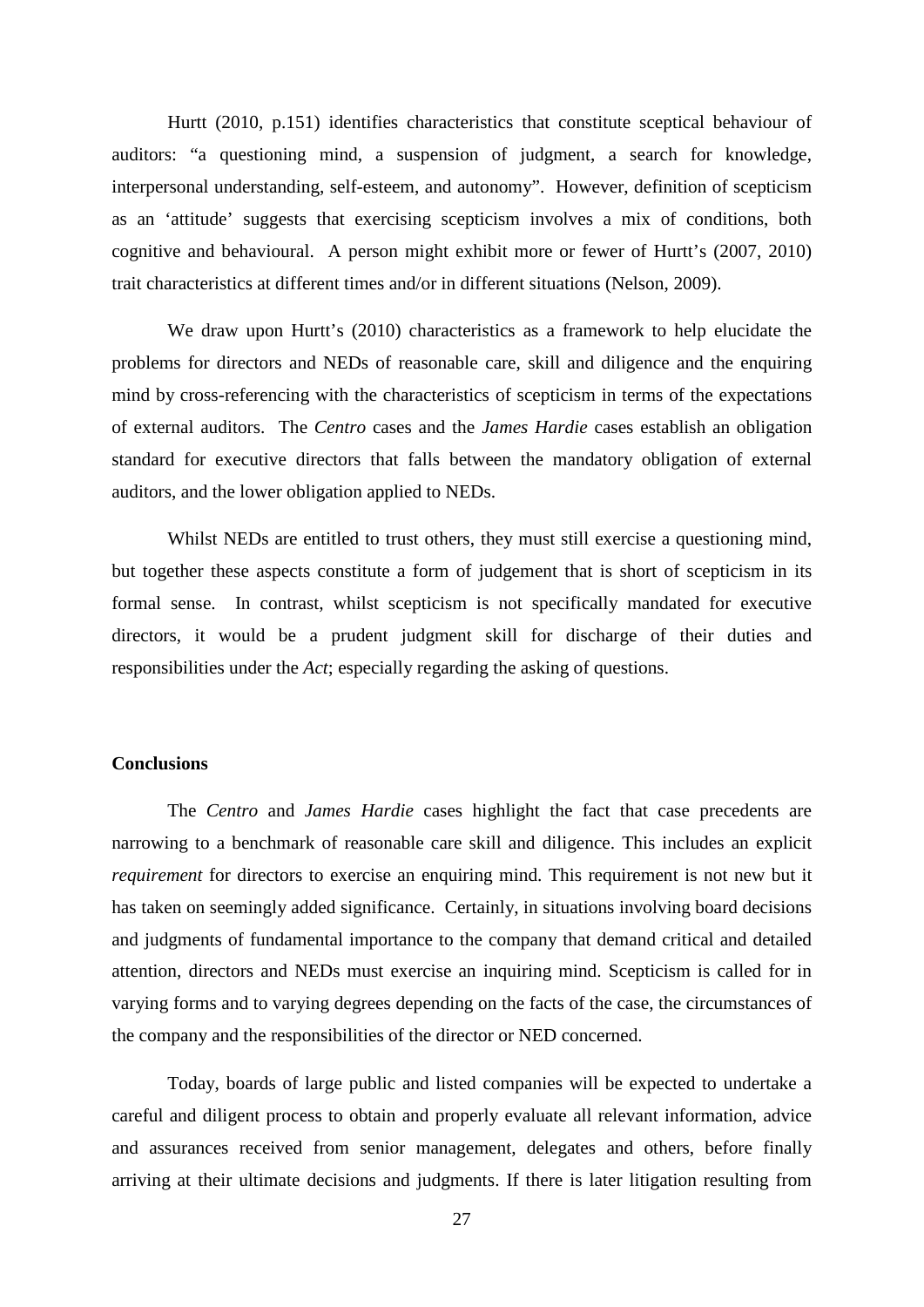Hurtt (2010, p.151) identifies characteristics that constitute sceptical behaviour of auditors: "a questioning mind, a suspension of judgment, a search for knowledge, interpersonal understanding, self-esteem, and autonomy". However, definition of scepticism as an 'attitude' suggests that exercising scepticism involves a mix of conditions, both cognitive and behavioural. A person might exhibit more or fewer of Hurtt's (2007, 2010) trait characteristics at different times and/or in different situations (Nelson, 2009).

We draw upon Hurtt's (2010) characteristics as a framework to help elucidate the problems for directors and NEDs of reasonable care, skill and diligence and the enquiring mind by cross-referencing with the characteristics of scepticism in terms of the expectations of external auditors. The *Centro* cases and the *James Hardie* cases establish an obligation standard for executive directors that falls between the mandatory obligation of external auditors, and the lower obligation applied to NEDs.

Whilst NEDs are entitled to trust others, they must still exercise a questioning mind, but together these aspects constitute a form of judgement that is short of scepticism in its formal sense. In contrast, whilst scepticism is not specifically mandated for executive directors, it would be a prudent judgment skill for discharge of their duties and responsibilities under the *Act*; especially regarding the asking of questions.

#### **Conclusions**

The *Centro* and *James Hardie* cases highlight the fact that case precedents are narrowing to a benchmark of reasonable care skill and diligence. This includes an explicit *requirement* for directors to exercise an enquiring mind. This requirement is not new but it has taken on seemingly added significance. Certainly, in situations involving board decisions and judgments of fundamental importance to the company that demand critical and detailed attention, directors and NEDs must exercise an inquiring mind. Scepticism is called for in varying forms and to varying degrees depending on the facts of the case, the circumstances of the company and the responsibilities of the director or NED concerned.

Today, boards of large public and listed companies will be expected to undertake a careful and diligent process to obtain and properly evaluate all relevant information, advice and assurances received from senior management, delegates and others, before finally arriving at their ultimate decisions and judgments. If there is later litigation resulting from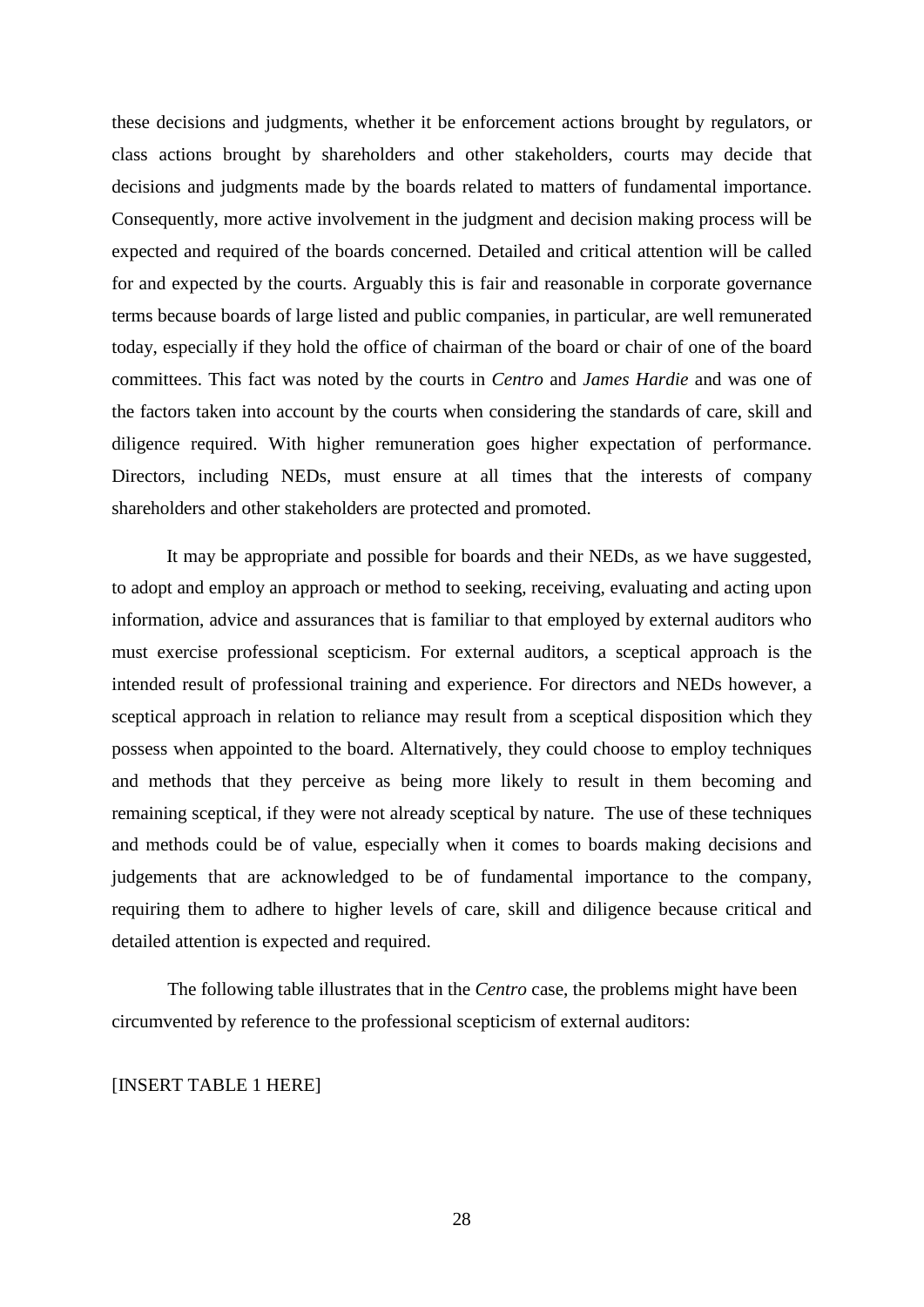these decisions and judgments, whether it be enforcement actions brought by regulators, or class actions brought by shareholders and other stakeholders, courts may decide that decisions and judgments made by the boards related to matters of fundamental importance. Consequently, more active involvement in the judgment and decision making process will be expected and required of the boards concerned. Detailed and critical attention will be called for and expected by the courts. Arguably this is fair and reasonable in corporate governance terms because boards of large listed and public companies, in particular, are well remunerated today, especially if they hold the office of chairman of the board or chair of one of the board committees. This fact was noted by the courts in *Centro* and *James Hardie* and was one of the factors taken into account by the courts when considering the standards of care, skill and diligence required. With higher remuneration goes higher expectation of performance. Directors, including NEDs, must ensure at all times that the interests of company shareholders and other stakeholders are protected and promoted.

It may be appropriate and possible for boards and their NEDs, as we have suggested, to adopt and employ an approach or method to seeking, receiving, evaluating and acting upon information, advice and assurances that is familiar to that employed by external auditors who must exercise professional scepticism. For external auditors, a sceptical approach is the intended result of professional training and experience. For directors and NEDs however, a sceptical approach in relation to reliance may result from a sceptical disposition which they possess when appointed to the board. Alternatively, they could choose to employ techniques and methods that they perceive as being more likely to result in them becoming and remaining sceptical, if they were not already sceptical by nature. The use of these techniques and methods could be of value, especially when it comes to boards making decisions and judgements that are acknowledged to be of fundamental importance to the company, requiring them to adhere to higher levels of care, skill and diligence because critical and detailed attention is expected and required.

The following table illustrates that in the *Centro* case, the problems might have been circumvented by reference to the professional scepticism of external auditors:

#### [INSERT TABLE 1 HERE]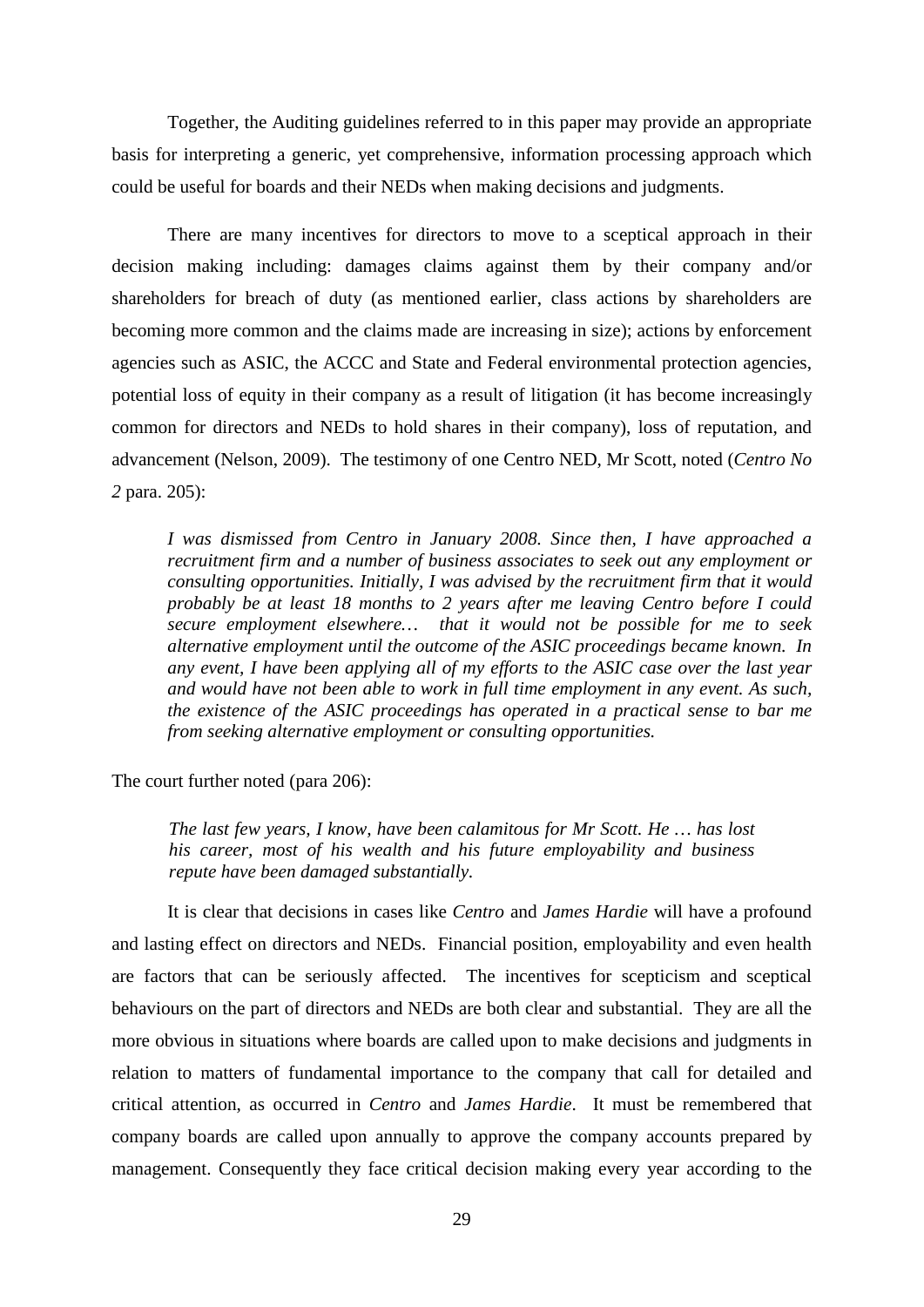Together, the Auditing guidelines referred to in this paper may provide an appropriate basis for interpreting a generic, yet comprehensive, information processing approach which could be useful for boards and their NEDs when making decisions and judgments.

There are many incentives for directors to move to a sceptical approach in their decision making including: damages claims against them by their company and/or shareholders for breach of duty (as mentioned earlier, class actions by shareholders are becoming more common and the claims made are increasing in size); actions by enforcement agencies such as ASIC, the ACCC and State and Federal environmental protection agencies, potential loss of equity in their company as a result of litigation (it has become increasingly common for directors and NEDs to hold shares in their company), loss of reputation, and advancement (Nelson, 2009). The testimony of one Centro NED, Mr Scott, noted (*Centro No 2* para. 205):

*I was dismissed from Centro in January 2008. Since then, I have approached a recruitment firm and a number of business associates to seek out any employment or consulting opportunities. Initially, I was advised by the recruitment firm that it would probably be at least 18 months to 2 years after me leaving Centro before I could secure employment elsewhere… that it would not be possible for me to seek alternative employment until the outcome of the ASIC proceedings became known. In any event, I have been applying all of my efforts to the ASIC case over the last year and would have not been able to work in full time employment in any event. As such, the existence of the ASIC proceedings has operated in a practical sense to bar me from seeking alternative employment or consulting opportunities.*

The court further noted (para 206):

*The last few years, I know, have been calamitous for Mr Scott. He … has lost his career, most of his wealth and his future employability and business repute have been damaged substantially.* 

It is clear that decisions in cases like *Centro* and *James Hardie* will have a profound and lasting effect on directors and NEDs. Financial position, employability and even health are factors that can be seriously affected. The incentives for scepticism and sceptical behaviours on the part of directors and NEDs are both clear and substantial. They are all the more obvious in situations where boards are called upon to make decisions and judgments in relation to matters of fundamental importance to the company that call for detailed and critical attention, as occurred in *Centro* and *James Hardie*. It must be remembered that company boards are called upon annually to approve the company accounts prepared by management. Consequently they face critical decision making every year according to the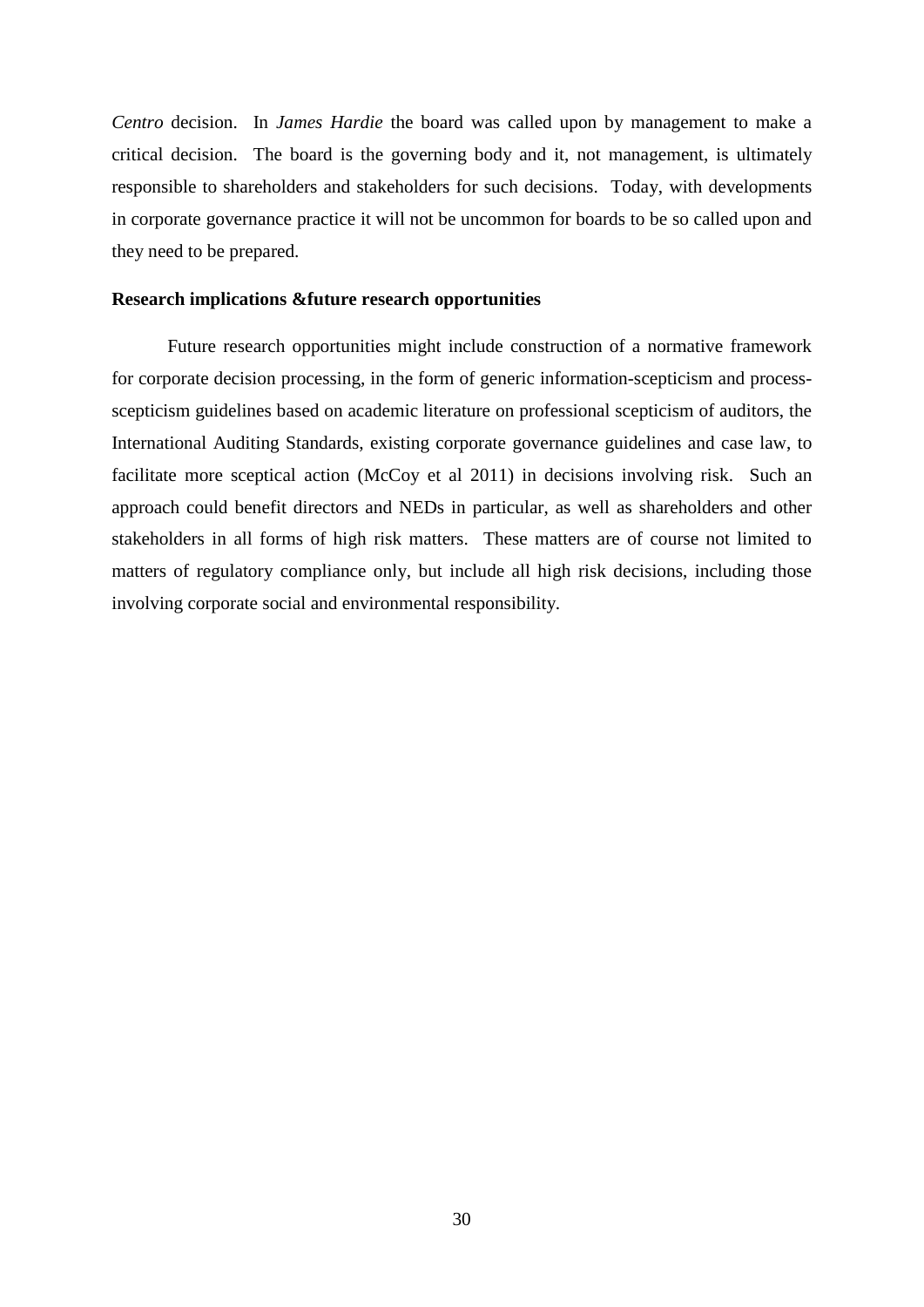*Centro* decision. In *James Hardie* the board was called upon by management to make a critical decision. The board is the governing body and it, not management, is ultimately responsible to shareholders and stakeholders for such decisions. Today, with developments in corporate governance practice it will not be uncommon for boards to be so called upon and they need to be prepared.

## **Research implications &future research opportunities**

Future research opportunities might include construction of a normative framework for corporate decision processing, in the form of generic information-scepticism and processscepticism guidelines based on academic literature on professional scepticism of auditors, the International Auditing Standards, existing corporate governance guidelines and case law, to facilitate more sceptical action (McCoy et al 2011) in decisions involving risk. Such an approach could benefit directors and NEDs in particular, as well as shareholders and other stakeholders in all forms of high risk matters. These matters are of course not limited to matters of regulatory compliance only, but include all high risk decisions, including those involving corporate social and environmental responsibility.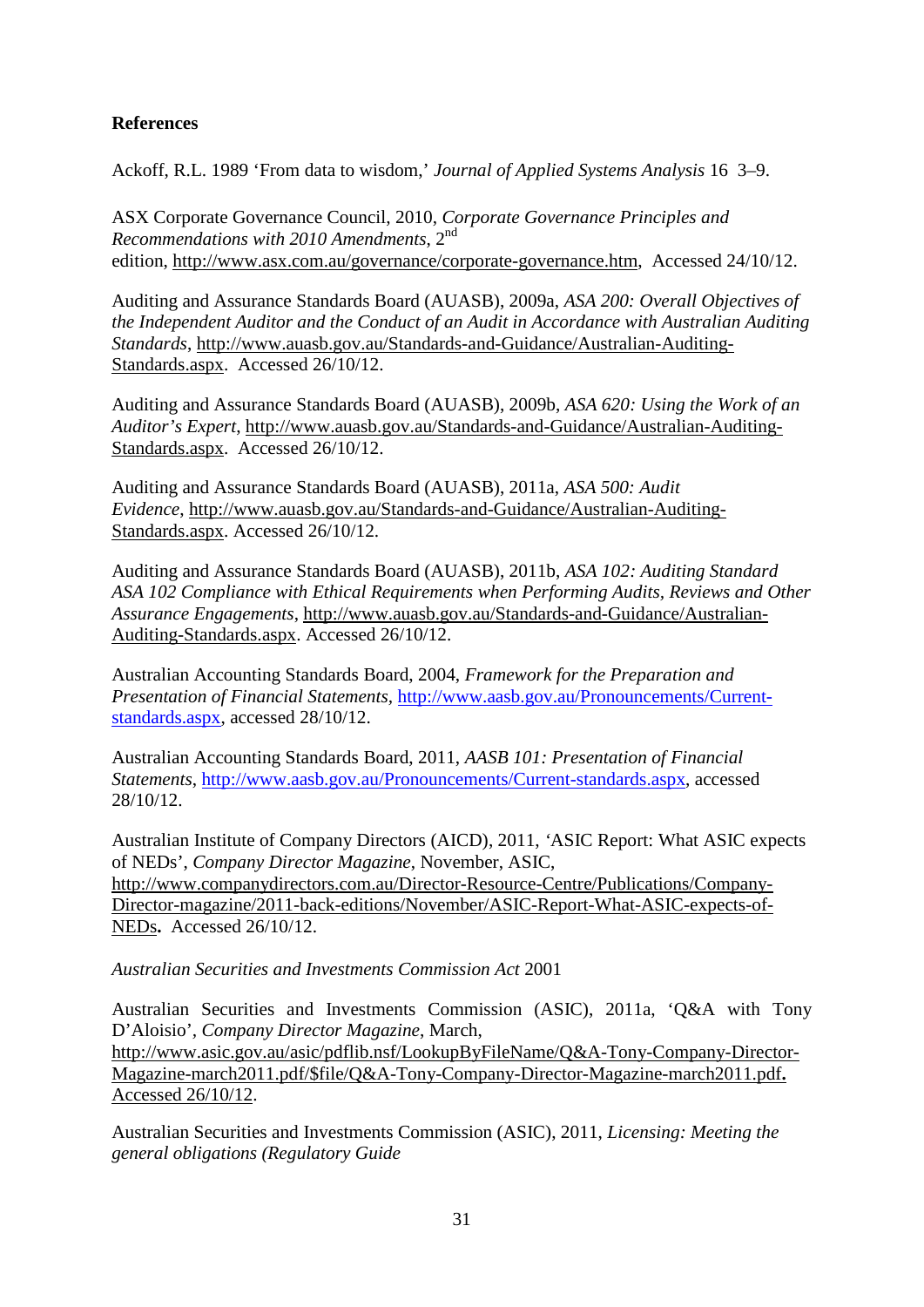# **References**

Ackoff, R.L. 1989 'From data to wisdom,' *Journal of Applied Systems Analysis* 16 3–9.

ASX Corporate Governance Council, 2010, *Corporate Governance Principles and Recommendations with 2010 Amendments*, 2nd edition, [http://www.asx.com.au/governance/corporate-governance.htm,](http://www.asx.com.au/governance/corporate-governance.htm) Accessed 24/10/12.

Auditing and Assurance Standards Board (AUASB), 2009a, *ASA 200: Overall Objectives of the Independent Auditor and the Conduct of an Audit in Accordance with Australian Auditing Standards*, [http://www.auasb.gov.au/Standards-and-Guidance/Australian-Auditing-](http://www.auasb.gov.au/Standards-and-Guidance/Australian-Auditing-Standards.aspx)[Standards.aspx.](http://www.auasb.gov.au/Standards-and-Guidance/Australian-Auditing-Standards.aspx) Accessed 26/10/12.

Auditing and Assurance Standards Board (AUASB), 2009b, *ASA 620: Using the Work of an Auditor's Expert*, [http://www.auasb.gov.au/Standards-and-Guidance/Australian-Auditing-](http://www.auasb.gov.au/Standards-and-Guidance/Australian-Auditing-Standards.aspx)[Standards.aspx.](http://www.auasb.gov.au/Standards-and-Guidance/Australian-Auditing-Standards.aspx) Accessed 26/10/12.

Auditing and Assurance Standards Board (AUASB), 2011a, *ASA 500: Audit Evidence*, [http://www.auasb.gov.au/Standards-and-Guidance/Australian-Auditing-](http://www.auasb.gov.au/Standards-and-Guidance/Australian-Auditing-Standards.aspx)[Standards.aspx.](http://www.auasb.gov.au/Standards-and-Guidance/Australian-Auditing-Standards.aspx) Accessed 26/10/12.

Auditing and Assurance Standards Board (AUASB), 2011b, *ASA 102: Auditing Standard ASA 102 Compliance with Ethical Requirements when Performing Audits, Reviews and Other Assurance Engagements*, [http://www.auasb.gov.au/Standards-and-Guidance/Australian-](http://www.auasb.gov.au/Standards-and-Guidance/Australian-Auditing-Standards.aspx)[Auditing-Standards.aspx.](http://www.auasb.gov.au/Standards-and-Guidance/Australian-Auditing-Standards.aspx) Accessed 26/10/12.

Australian Accounting Standards Board, 2004, *Framework for the Preparation and Presentation of Financial Statements,* [http://www.aasb.gov.au/Pronouncements/Current](http://www.aasb.gov.au/Pronouncements/Current-standards.aspx)[standards.aspx,](http://www.aasb.gov.au/Pronouncements/Current-standards.aspx) accessed 28/10/12.

Australian Accounting Standards Board, 2011, *AASB 101: Presentation of Financial Statements*, [http://www.aasb.gov.au/Pronouncements/Current-standards.aspx,](http://www.aasb.gov.au/Pronouncements/Current-standards.aspx) accessed 28/10/12.

Australian Institute of Company Directors (AICD), 2011, *'*ASIC Report: What ASIC expects of NEDs', *Company Director Magazine*, November, ASIC, [http://www.companydirectors.com.au/Director-Resource-Centre/Publications/Company-](http://www.companydirectors.com.au/Director-Resource-Centre/Publications/Company-Director-magazine/2011-back-editions/November/ASIC-Report-What-ASIC-expects-of-NEDs)[Director-magazine/2011-back-editions/November/ASIC-Report-What-ASIC-expects-of-](http://www.companydirectors.com.au/Director-Resource-Centre/Publications/Company-Director-magazine/2011-back-editions/November/ASIC-Report-What-ASIC-expects-of-NEDs)[NEDs](http://www.companydirectors.com.au/Director-Resource-Centre/Publications/Company-Director-magazine/2011-back-editions/November/ASIC-Report-What-ASIC-expects-of-NEDs)**.** Accessed 26/10/12.

# *Australian Securities and Investments Commission Act* 2001

Australian Securities and Investments Commission (ASIC), 2011a, 'Q&A with Tony D'Aloisio'*, Company Director Magazine*, March, [http://www.asic.gov.au/asic/pdflib.nsf/LookupByFileName/Q&A-Tony-Company-Director-](http://www.asic.gov.au/asic/pdflib.nsf/LookupByFileName/Q&A-Tony-Company-Director-Magazine-march2011.pdf/$file/Q&A-Tony-Company-Director-Magazine-march2011.pdf.%20%20Accessed%2026/10/12)[Magazine-march2011.pdf/\\$file/Q&A-Tony-Company-Director-Magazine-march2011.pdf](http://www.asic.gov.au/asic/pdflib.nsf/LookupByFileName/Q&A-Tony-Company-Director-Magazine-march2011.pdf/$file/Q&A-Tony-Company-Director-Magazine-march2011.pdf.%20%20Accessed%2026/10/12)**.**  [Accessed 26/10/12.](http://www.asic.gov.au/asic/pdflib.nsf/LookupByFileName/Q&A-Tony-Company-Director-Magazine-march2011.pdf/$file/Q&A-Tony-Company-Director-Magazine-march2011.pdf.%20%20Accessed%2026/10/12)

Australian Securities and Investments Commission (ASIC), 2011, *Licensing: Meeting the general obligations (Regulatory Guide*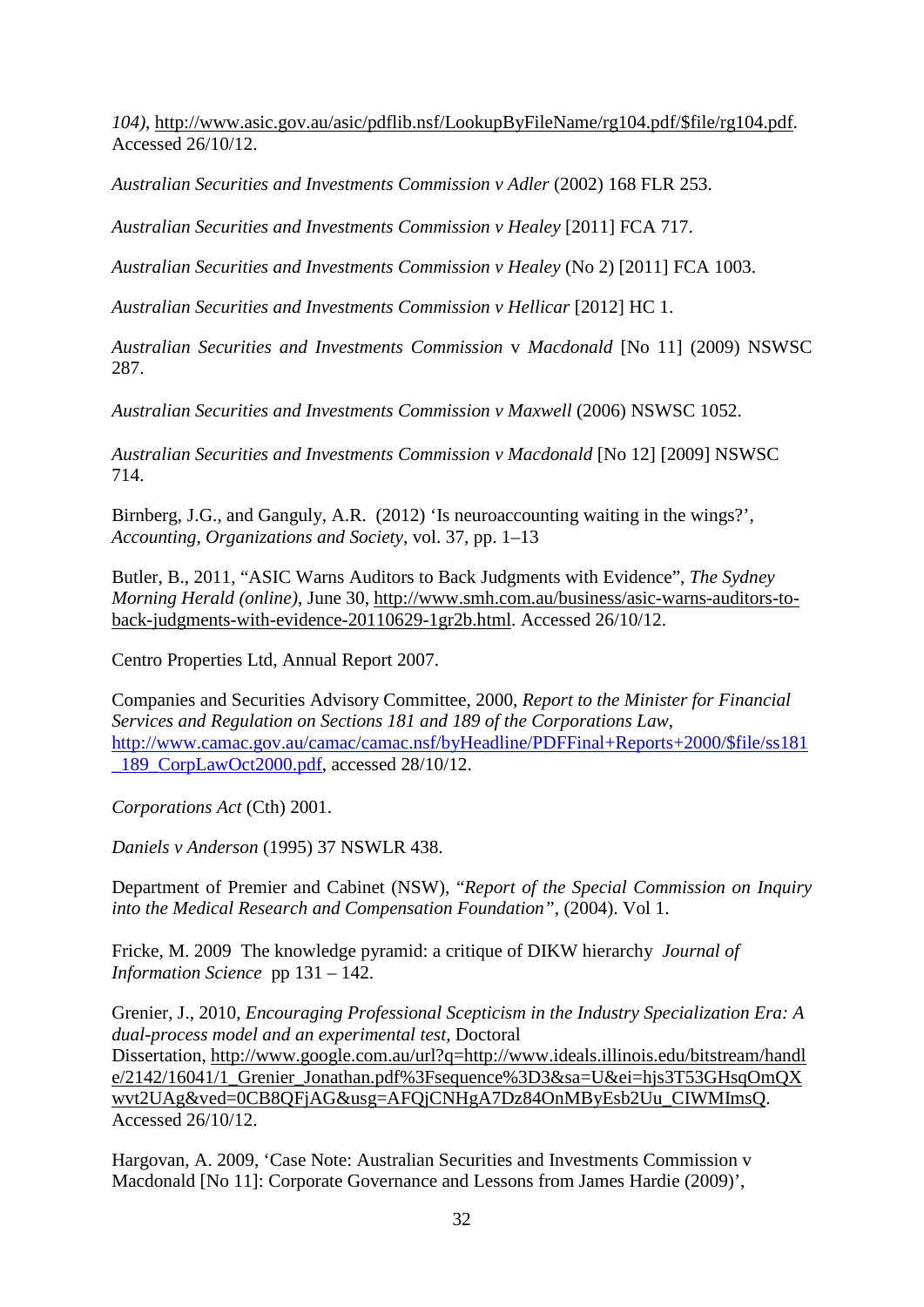*104)*, [http://www.asic.gov.au/asic/pdflib.nsf/LookupByFileName/rg104.pdf/\\$file/rg104.pdf.](http://www.asic.gov.au/asic/pdflib.nsf/LookupByFileName/rg104.pdf/$file/rg104.pdf) Accessed 26/10/12.

*Australian Securities and Investments Commission v Adler* (2002) 168 FLR 253.

*Australian Securities and Investments Commission v Healey* [2011] FCA 717.

*Australian Securities and Investments Commission v Healey* (No 2) [2011] FCA 1003.

*Australian Securities and Investments Commission v Hellicar* [2012] HC 1.

*Australian Securities and Investments Commission* v *Macdonald* [No 11] (2009) NSWSC 287.

*Australian Securities and Investments Commission v Maxwell* (2006) NSWSC 1052.

*Australian Securities and Investments Commission v Macdonald* [No 12] [2009] NSWSC 714.

Birnberg, J.G., and Ganguly, A.R. (2012) 'Is neuroaccounting waiting in the wings?', *Accounting, Organizations and Society*, vol. 37, pp. 1–13

Butler, B., 2011, "ASIC Warns Auditors to Back Judgments with Evidence", *The Sydney Morning Herald (online)*, June 30, [http://www.smh.com.au/business/asic-warns-auditors-to](http://www.smh.com.au/business/asic-warns-auditors-to-back-judgments-with-evidence-20110629-1gr2b.html)[back-judgments-with-evidence-20110629-1gr2b.html.](http://www.smh.com.au/business/asic-warns-auditors-to-back-judgments-with-evidence-20110629-1gr2b.html) Accessed 26/10/12.

Centro Properties Ltd, Annual Report 2007.

Companies and Securities Advisory Committee, 2000, *Report to the Minister for Financial Services and Regulation on Sections 181 and 189 of the Corporations Law*, [http://www.camac.gov.au/camac/camac.nsf/byHeadline/PDFFinal+Reports+2000/\\$file/ss181](http://www.camac.gov.au/camac/camac.nsf/byHeadline/PDFFinal+Reports+2000/$file/ss181_189_CorpLawOct2000.pdf) [\\_189\\_CorpLawOct2000.pdf,](http://www.camac.gov.au/camac/camac.nsf/byHeadline/PDFFinal+Reports+2000/$file/ss181_189_CorpLawOct2000.pdf) accessed 28/10/12.

*Corporations Act* (Cth) 2001.

*Daniels v Anderson* (1995) 37 NSWLR 438.

Department of Premier and Cabinet (NSW), "*Report of the Special Commission on Inquiry into the Medical Research and Compensation Foundation",* (2004). Vol 1.

Fricke, M. 2009 The knowledge pyramid: a critique of DIKW hierarchy *Journal of Information Science* pp 131 – 142.

Grenier, J., 2010, *Encouraging Professional Scepticism in the Industry Specialization Era: A dual-process model and an experimental test,* Doctoral Dissertation, [http://www.google.com.au/url?q=http://www.ideals.illinois.edu/bitstream/handl](http://www.google.com.au/url?q=http://www.ideals.illinois.edu/bitstream/handle/2142/16041/1_Grenier_Jonathan.pdf%3Fsequence%3D3&sa=U&ei=hjs3T53GHsqOmQXwvt2UAg&ved=0CB8QFjAG&usg=AFQjCNHgA7Dz84OnMByEsb2Uu_CIWMImsQ) [e/2142/16041/1\\_Grenier\\_Jonathan.pdf%3Fsequence%3D3&sa=U&ei=hjs3T53GHsqOmQX](http://www.google.com.au/url?q=http://www.ideals.illinois.edu/bitstream/handle/2142/16041/1_Grenier_Jonathan.pdf%3Fsequence%3D3&sa=U&ei=hjs3T53GHsqOmQXwvt2UAg&ved=0CB8QFjAG&usg=AFQjCNHgA7Dz84OnMByEsb2Uu_CIWMImsQ) [wvt2UAg&ved=0CB8QFjAG&usg=AFQjCNHgA7Dz84OnMByEsb2Uu\\_CIWMImsQ.](http://www.google.com.au/url?q=http://www.ideals.illinois.edu/bitstream/handle/2142/16041/1_Grenier_Jonathan.pdf%3Fsequence%3D3&sa=U&ei=hjs3T53GHsqOmQXwvt2UAg&ved=0CB8QFjAG&usg=AFQjCNHgA7Dz84OnMByEsb2Uu_CIWMImsQ) Accessed 26/10/12.

Hargovan, A. 2009, 'Case Note: Australian Securities and Investments Commission v Macdonald [No 11]: Corporate Governance and Lessons from James Hardie (2009)',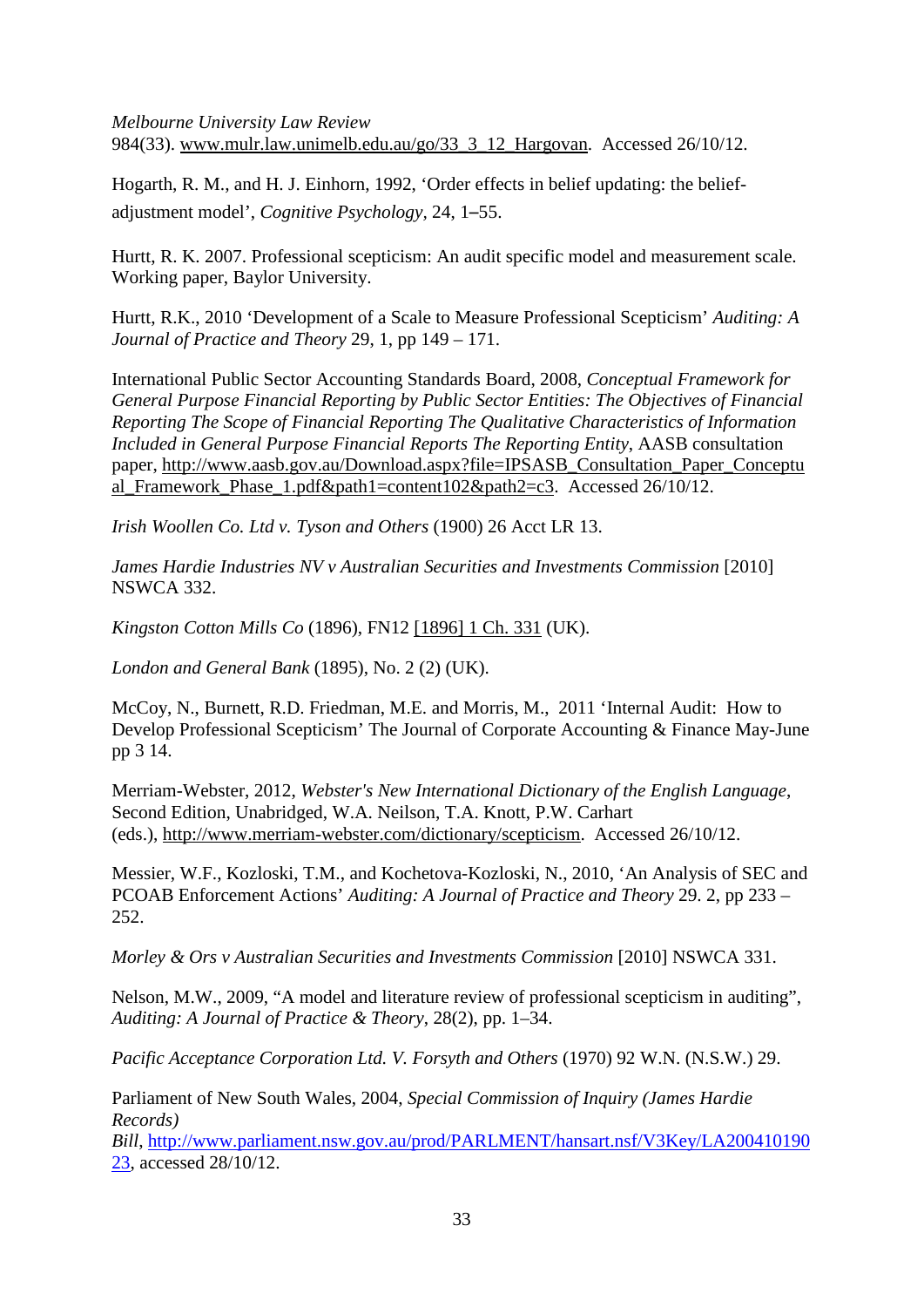*Melbourne University Law Review* 984(33). [www.mulr.law.unimelb.edu.au/go/33\\_3\\_12\\_Hargovan.](http://www.mulr.law.unimelb.edu.au/go/33_3_12_Hargovan) Accessed 26/10/12.

Hogarth, R. M., and H. J. Einhorn, 1992, 'Order effects in belief updating: the beliefadjustment model', *Cognitive Psychology,* 24, 1–55.

Hurtt, R. K. 2007. Professional scepticism: An audit specific model and measurement scale. Working paper, Baylor University.

Hurtt, R.K., 2010 'Development of a Scale to Measure Professional Scepticism' *Auditing: A Journal of Practice and Theory* 29, 1, pp 149 – 171.

International Public Sector Accounting Standards Board, 2008, *Conceptual Framework for General Purpose Financial Reporting by Public Sector Entities: The Objectives of Financial Reporting The Scope of Financial Reporting The Qualitative Characteristics of Information Included in General Purpose Financial Reports The Reporting Entity*, AASB consultation paper, [http://www.aasb.gov.au/Download.aspx?file=IPSASB\\_Consultation\\_Paper\\_Conceptu](http://www.aasb.gov.au/Download.aspx?file=IPSASB_Consultation_Paper_Conceptual_Framework_Phase_1.pdf&path1=content102&path2=c3) al Framework Phase 1.pdf&path1=content102&path2=c3. Accessed 26/10/12.

*Irish Woollen Co. Ltd v. Tyson and Others* (1900) 26 Acct LR 13.

*James Hardie Industries NV v Australian Securities and Investments Commission* [2010] NSWCA 332.

*Kingston Cotton Mills Co* (1896), FN12 [\[1896\] 1 Ch. 331](http://uk.westlaw.com/find/default.wl?DB=UK%2DCASELOC&SerialNum=1895411667&FindType=Y&AP=&fn=_top&rs=WLUK6.07&mt=WestlawUK&vr=2.0&sv=Split&sp=ukatoxu-000) (UK).

*London and General Bank* (1895), No. 2 (2) (UK).

McCoy, N., Burnett, R.D. Friedman, M.E. and Morris, M., 2011 'Internal Audit: How to Develop Professional Scepticism' The Journal of Corporate Accounting & Finance May-June pp 3 14.

Merriam-Webster, 2012, *Webster's New International Dictionary of the English Language*, Second Edition, Unabridged, W.A. Neilson, T.A. Knott, P.W. Carhart (eds.), [http://www.merriam-webster.com/dictionary/scepticism.](http://www.merriam-webster.com/dictionary/skepticism) Accessed 26/10/12.

Messier, W.F., Kozloski, T.M., and Kochetova-Kozloski, N., 2010, 'An Analysis of SEC and PCOAB Enforcement Actions' *Auditing: A Journal of Practice and Theory* 29. 2, pp 233 – 252.

*Morley & Ors v Australian Securities and Investments Commission* [2010] NSWCA 331.

Nelson, M.W., 2009, "A model and literature review of professional scepticism in auditing", *Auditing: A Journal of Practice & Theory*, 28(2), pp. 1–34.

*Pacific Acceptance Corporation Ltd. V. Forsyth and Others* (1970) 92 W.N. (N.S.W.) 29.

Parliament of New South Wales, 2004, *Special Commission of Inquiry (James Hardie Records)* 

*Bill*, [http://www.parliament.nsw.gov.au/prod/PARLMENT/hansart.nsf/V3Key/LA200410190](http://www.parliament.nsw.gov.au/prod/PARLMENT/hansart.nsf/V3Key/LA20041019023) [23,](http://www.parliament.nsw.gov.au/prod/PARLMENT/hansart.nsf/V3Key/LA20041019023) accessed 28/10/12.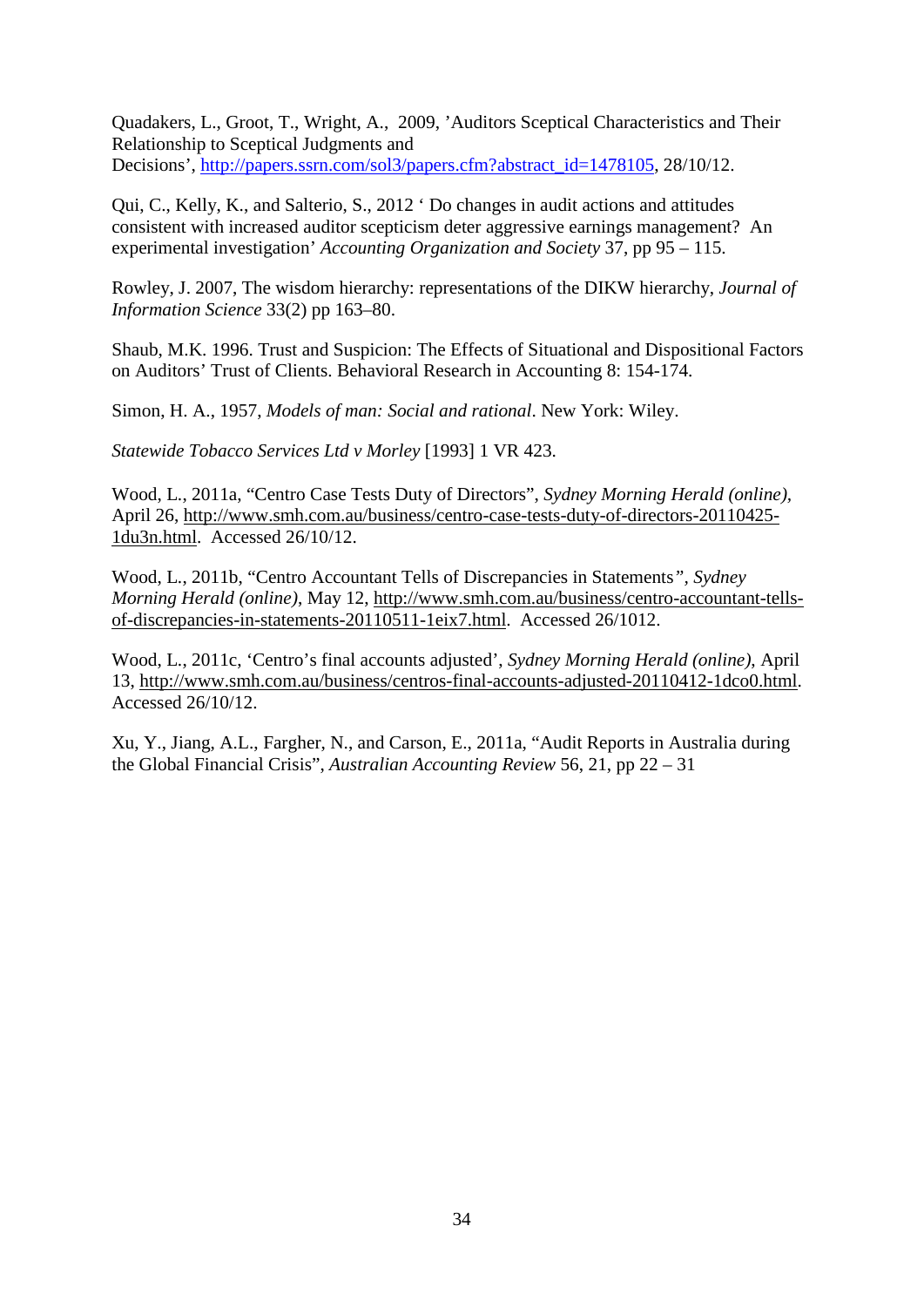Quadakers, L., Groot, T., Wright, A., 2009, 'Auditors Sceptical Characteristics and Their Relationship to Sceptical Judgments and Decisions', [http://papers.ssrn.com/sol3/papers.cfm?abstract\\_id=1478105,](http://papers.ssrn.com/sol3/papers.cfm?abstract_id=1478105) 28/10/12.

Qui, C., Kelly, K., and Salterio, S., 2012 ' Do changes in audit actions and attitudes consistent with increased auditor scepticism deter aggressive earnings management? An experimental investigation' *Accounting Organization and Society* 37, pp 95 – 115.

Rowley, J. 2007, The wisdom hierarchy: representations of the DIKW hierarchy, *Journal of Information Science* 33(2) pp 163–80.

Shaub, M.K. 1996. Trust and Suspicion: The Effects of Situational and Dispositional Factors on Auditors' Trust of Clients. Behavioral Research in Accounting 8: 154-174.

Simon, H. A., 1957, *Models of man: Social and rational*. New York: Wiley.

*Statewide Tobacco Services Ltd v Morley* [1993] 1 VR 423.

Wood, L., 2011a, "Centro Case Tests Duty of Directors", *Sydney Morning Herald (online),* April 26, http://www.smh.com.au/business/centro-case-tests-duty-of-directors-20110425- 1du3n.html . Accessed 26/10/12.

Wood, L., 2011b, "Centro Accountant Tells of Discrepancies in Statements*", Sydney*  Morning Herald (online), May 12, [http://www.smh.com.au/business/centro-accountant-tells](http://www.smh.com.au/business/centro-accountant-tells-of-discrepancies-in-statements-20110511-1eix7.html)[of-discrepancies-in-statements-20110511-1eix7.html.](http://www.smh.com.au/business/centro-accountant-tells-of-discrepancies-in-statements-20110511-1eix7.html) Accessed 26/1012.

Wood, L., 2011c, 'Centro's final accounts adjusted', *Sydney Morning Herald (online)*, April 13, http://www.smh.com.au/business/centros-final-accounts-adjusted-20110412-1dco0.html . Accessed 26/10/12.

Xu, Y., Jiang, A.L., Fargher, N., and Carson, E., 2011a, "Audit Reports in Australia during the Global Financial Crisis", *Australian Accounting Review* 56, 21, pp 22 – 31